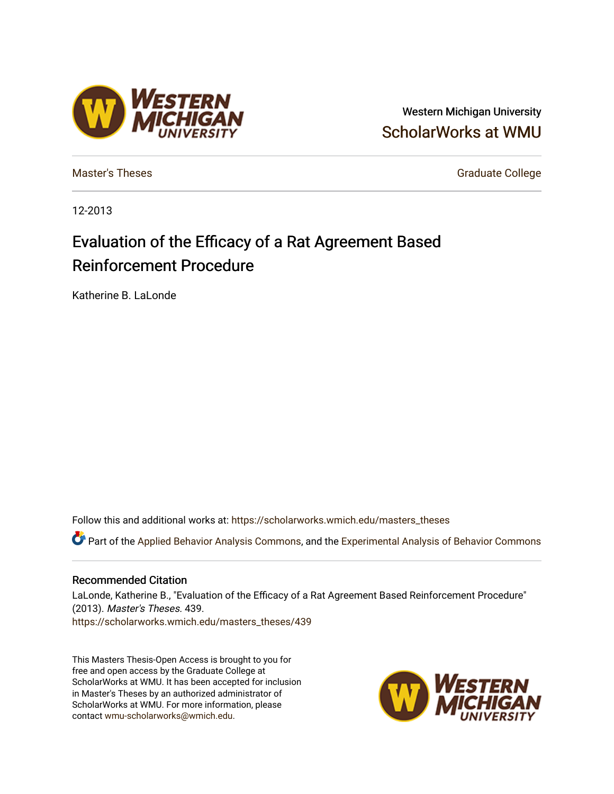# Vestern

Western Michigan University [ScholarWorks at WMU](https://scholarworks.wmich.edu/) 

[Master's Theses](https://scholarworks.wmich.edu/masters_theses) Graduate College

12-2013

# Evaluation of the Efficacy of a Rat Agreement Based Reinforcement Procedure

Katherine B. LaLonde

Follow this and additional works at: [https://scholarworks.wmich.edu/masters\\_theses](https://scholarworks.wmich.edu/masters_theses?utm_source=scholarworks.wmich.edu%2Fmasters_theses%2F439&utm_medium=PDF&utm_campaign=PDFCoverPages) 

Part of the [Applied Behavior Analysis Commons](http://network.bepress.com/hgg/discipline/1235?utm_source=scholarworks.wmich.edu%2Fmasters_theses%2F439&utm_medium=PDF&utm_campaign=PDFCoverPages), and the [Experimental Analysis of Behavior Commons](http://network.bepress.com/hgg/discipline/1236?utm_source=scholarworks.wmich.edu%2Fmasters_theses%2F439&utm_medium=PDF&utm_campaign=PDFCoverPages) 

#### Recommended Citation

LaLonde, Katherine B., "Evaluation of the Efficacy of a Rat Agreement Based Reinforcement Procedure" (2013). Master's Theses. 439. [https://scholarworks.wmich.edu/masters\\_theses/439](https://scholarworks.wmich.edu/masters_theses/439?utm_source=scholarworks.wmich.edu%2Fmasters_theses%2F439&utm_medium=PDF&utm_campaign=PDFCoverPages) 

This Masters Thesis-Open Access is brought to you for free and open access by the Graduate College at ScholarWorks at WMU. It has been accepted for inclusion in Master's Theses by an authorized administrator of ScholarWorks at WMU. For more information, please contact [wmu-scholarworks@wmich.edu](mailto:wmu-scholarworks@wmich.edu).

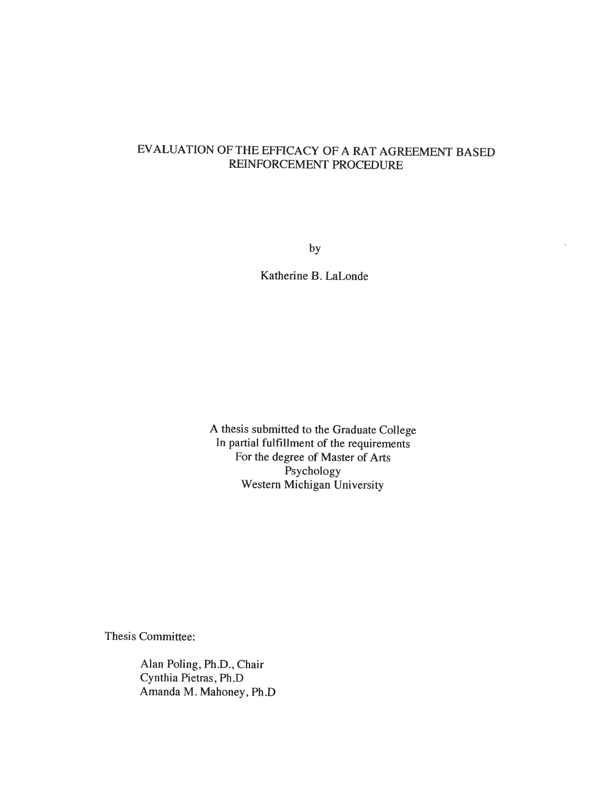# *EVALUATION OF THE EFFICACY OF A RAT AGREEMENT BASED REINFORCEMENT PROCEDURE*

*by*

*Katherine B. LaLonde*

*A thesis submitted to the Graduate College In partial fulfillment of the requirements For the degree of Master of Arts Psychology Western Michigan University*

 $\mathcal{A}^{\mathcal{A}}$ 

*Thesis Committee:*

*Alan Poling, Ph.D., Chair Cynthia Pietras, Ph.D Amanda M. Mahoney, Ph.D*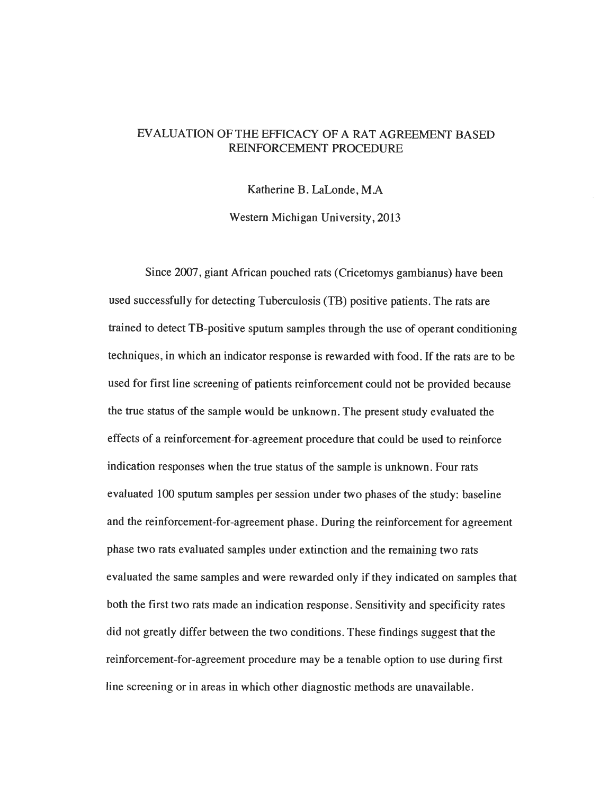### EVALUATION OF THE EFFICACY OF A RAT AGREEMENT BASED REINFORCEMENT PROCEDURE

Katherine B. LaLonde, MA

Western Michigan University, 2013

Since 2007, giant African pouched rats (Cricetomys gambianus) have been used successfully for detecting Tuberculosis (TB) positive patients. The rats are trained to detect TB-positive sputum samples through the use of operant conditioning techniques, in which an indicator response is rewarded with food. If the rats are to be used for first line screening of patients reinforcement could not be provided because the true status of the sample would be unknown. The present study evaluated the effects of a reinforcement-for-agreement procedure that could be used to reinforce indication responses when the true status of the sample is unknown. Four rats evaluated 100 sputum samples per session under two phases of the study: baseline and the reinforcement-for-agreement phase. During the reinforcement for agreement phase two rats evaluated samples under extinction and the remaining two rats evaluated the same samples and were rewarded only if they indicated on samples that both the first two rats made an indication response. Sensitivity and specificity rates did not greatly differ between the two conditions. These findings suggest that the reinforcement-for-agreement procedure may be a tenable option to use during first line screening or in areas in which other diagnostic methods are unavailable.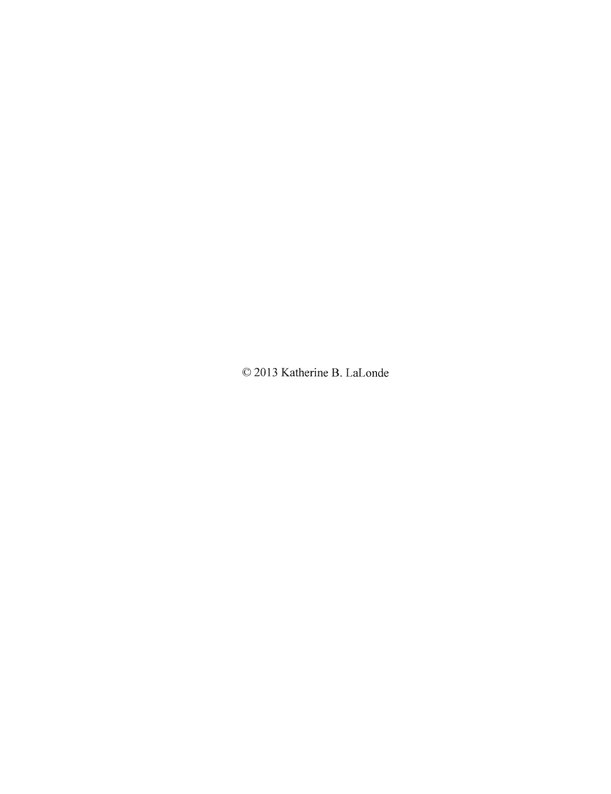Katherine B. LaLonde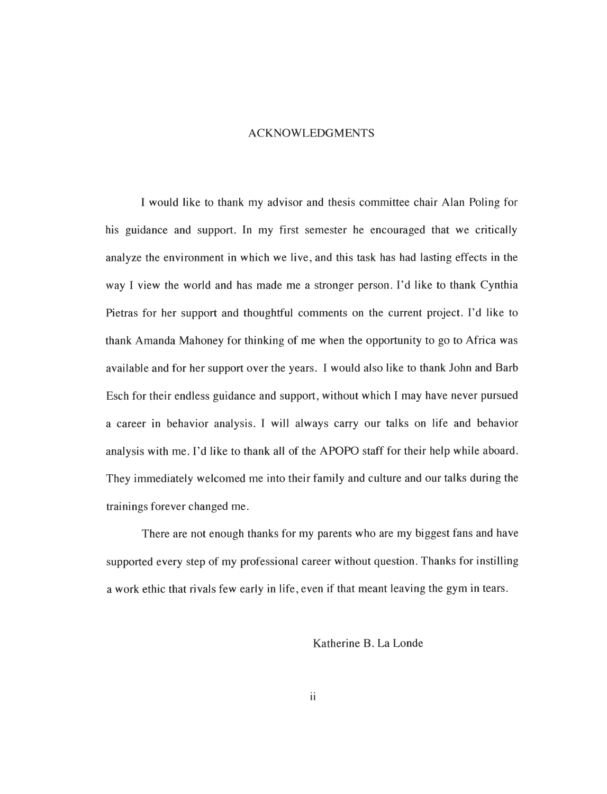#### ACKNOWLEDGMENTS

I would like to thank my advisor and thesis committee chair Alan Poling for his guidance and support. In my first semester he encouraged that we critically analyze the environment in which we live, and this task has had lasting effects in the way I view the world and has made me a stronger person. I'd like to thank Cynthia Pietras for her support and thoughtful comments on the current project. I'd like to thank Amanda Mahoney for thinking of me when the opportunity to go to Africa was available and for her support over the years. I would also like to thank John and Barb Esch for their endless guidance and support, without which I may have never pursued a career in behavior analysis. I will always carry our talks on life and behavior analysis with me. I'd like to thank all of the APOPO staff for their help while aboard. They immediately welcomed me into their family and culture and our talks during the trainings forever changed me.

There are not enough thanks for my parents who are my biggest fans and have supported every step of my professional career without question. Thanks for instilling a work ethic that rivals few early in life, even if that meant leaving the gym in tears.

Katherine B. La Londe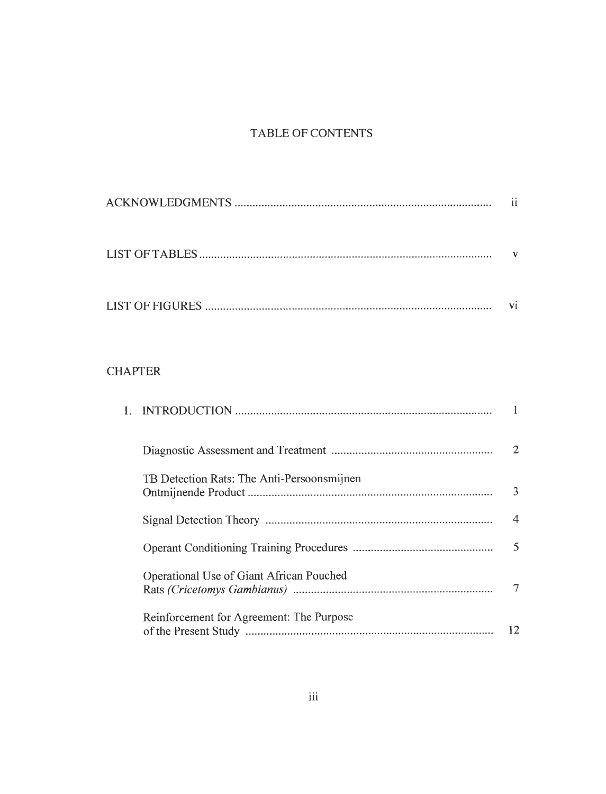# TABLE OF CONTENTS

|                                            | ii             |
|--------------------------------------------|----------------|
|                                            | V              |
|                                            | vi             |
| <b>CHAPTER</b>                             |                |
| L.                                         | $\mathbf{1}$   |
|                                            | $\overline{2}$ |
| TB Detection Rats: The Anti-Persoonsmijnen | 3              |
|                                            | $\overline{4}$ |
|                                            | 5              |
| Operational Use of Giant African Pouched   | $\tau$         |

| Reinforcement for Agreement: The Purpose |    |
|------------------------------------------|----|
|                                          | 12 |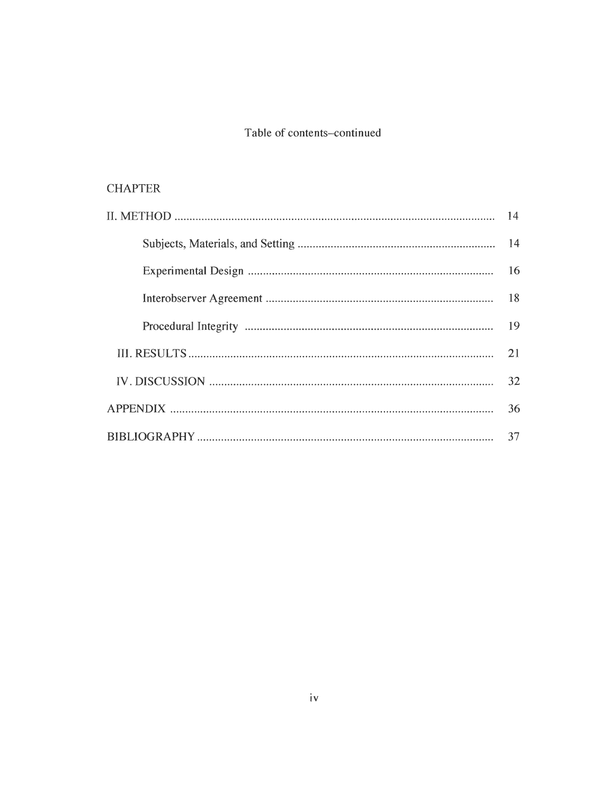# Table of contents-continued

# **CHAPTER**

| 21 |
|----|
| 32 |
| 36 |
| 37 |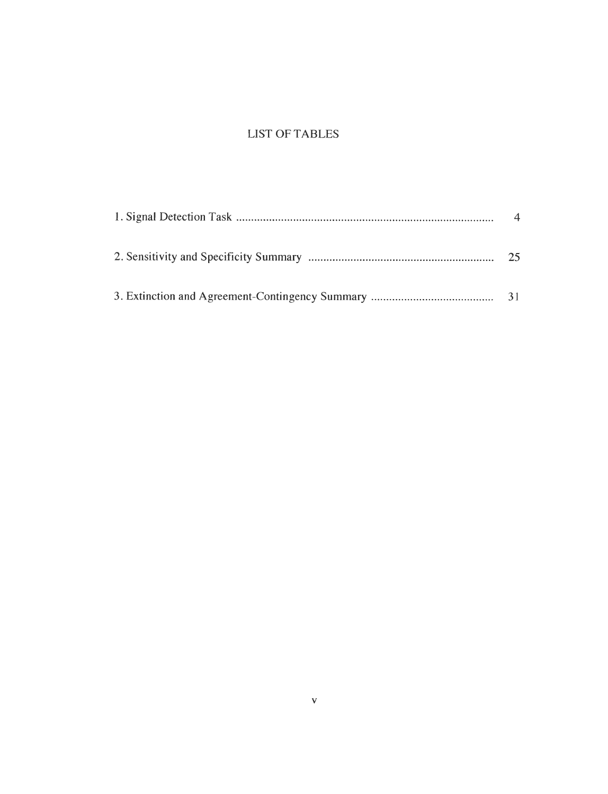# LIST OF TABLES

| 25 |
|----|
|    |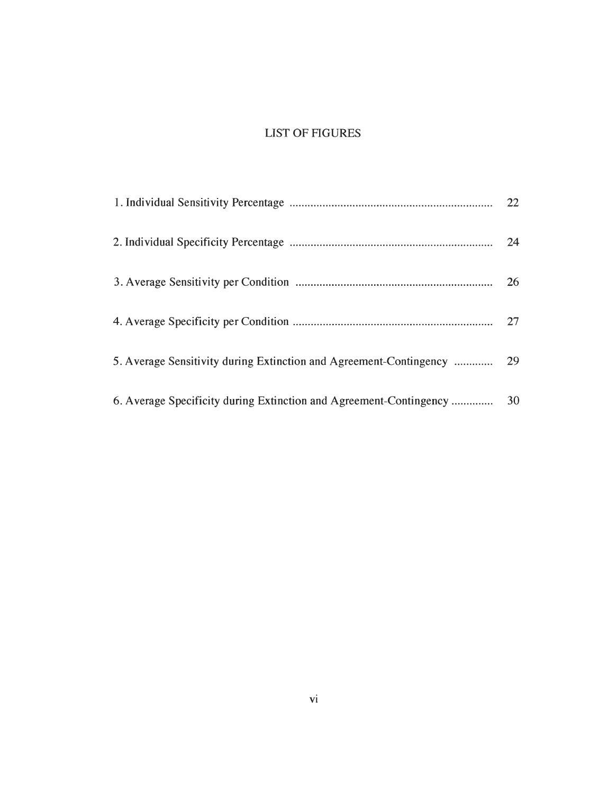# LIST OF FIGURES

|                                                                    | 22 |
|--------------------------------------------------------------------|----|
|                                                                    | 24 |
|                                                                    | 26 |
|                                                                    | 27 |
|                                                                    |    |
| 6. Average Specificity during Extinction and Agreement-Contingency | 30 |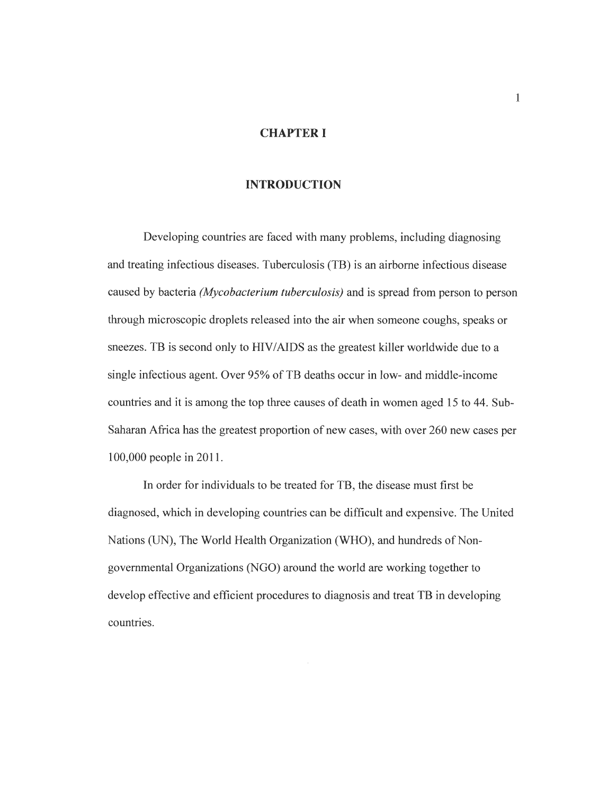#### *CHAPTER I*

#### *INTRODUCTION*

Developing countries are faced with many problems, including diagnosing and treating infectious diseases. Tuberculosis (TB) is an airborne infectious disease caused by bacteria **(Mycobacterium tuberculosis)** and is spread from person to person through microscopic droplets released into the air when someone coughs, speaks or sneezes. TB is second only to HIV/AIDS as the greatest killer worldwide due to a single infectious agent. Over 95% of TB deaths occur in low- and middle-income countries and it is among the top three causes of death in women aged 15 to 44. Sub-Saharan Africa has the greatest proportion of new cases, with over 260 new cases per 100,000 people in 2011.

In order for individuals to be treated for TB, the disease must first be diagnosed, which in developing countries can be difficult and expensive. The United Nations (UN), The World Health Organization (WHO), and hundreds of Nongovernmental Organizations (NGO) around the world are working together to develop effective and efficient procedures to diagnosis and treat TB in developing countries.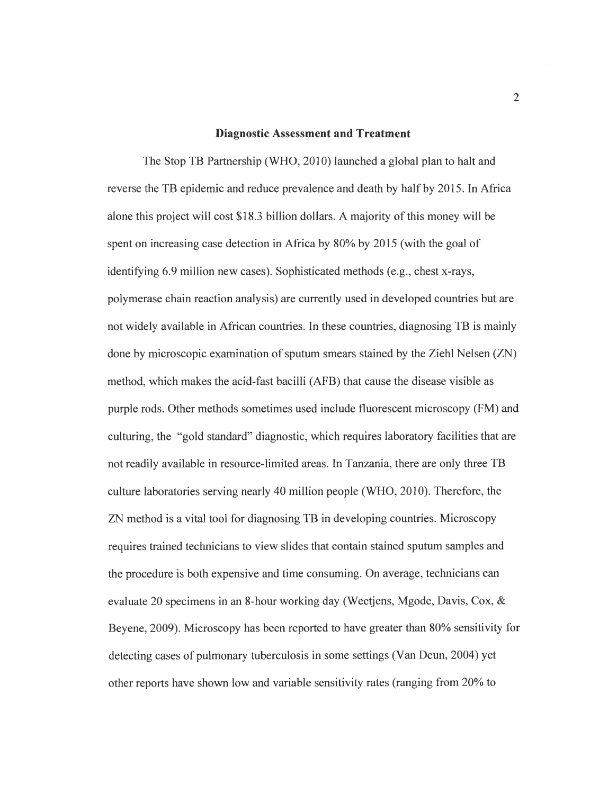#### *Diagnostic Assessment and Treatment*

The Stop TB Partnership (WHO, 2010) launched a global plan to halt and reverse the TB epidemic and reduce prevalence and death by half by 2015. In Africa alone this project will cost \$18.3 billion dollars. A majority of this money will be spent on increasing case detection in Africa by 80% by 2015 (with the goal of identifying 6.9 million new cases). Sophisticated methods (e.g., chest x-rays, polymerase chain reaction analysis) are currently used in developed countries but are not widely available in African countries. In these countries, diagnosing TB is mainly done by microscopic examination of sputum smears stained by the Ziehl Nelsen  $(ZN)$ method, which makes the acid-fast bacilli (AFB) that cause the disease visible as purple rods. Other methods sometimes used include fluorescent microscopy (FM) and culturing, the "gold standard" diagnostic, which requires laboratory facilities that are not readily available in resource-limited areas. In Tanzania, there are only three TB culture laboratories serving nearly 40 million people (WHO, 2010). Therefore, the ZN method is a vital tool for diagnosing TB in developing countries. Microscopy requires trained technicians to view slides that contain stained sputum samples and the procedure is both expensive and time consuming. On average, technicians can evaluate 20 specimens in an 8-hour working day (Weetjens, Mgode, Davis, Cox, & Beyene, 2009). Microscopy has been reported to have greater than 80% sensitivity for detecting cases of pulmonary tuberculosis in some settings (Van Deun, 2004) yet other reports have shown low and variable sensitivity rates (ranging from 20% to

 $\overline{2}$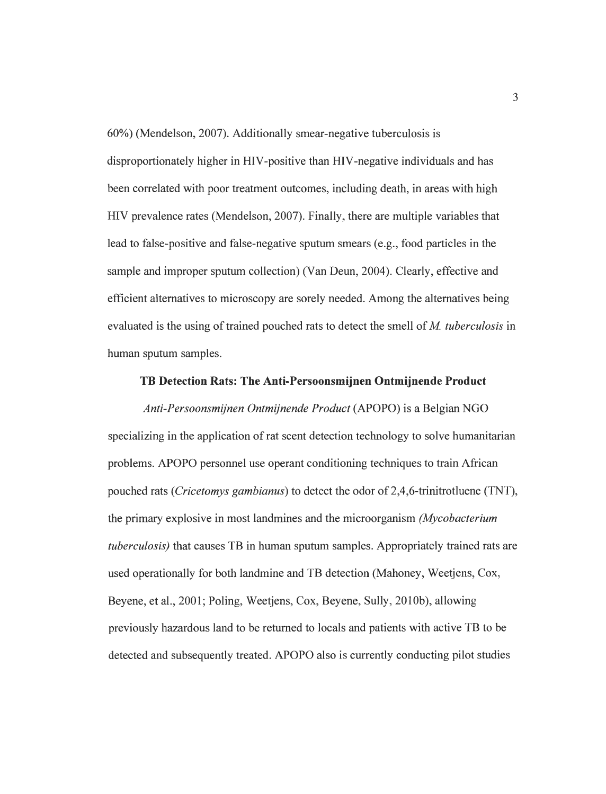60%) (Mendelson, 2007). Additionally smear-negative tuberculosis is disproportionately higher in HIV-positive than HIV-negative individuals and has been correlated with poor treatment outcomes, including death, in areas with high HIV prevalence rates (Mendelson, 2007). Finally, there are multiple variables that lead to false-positive and false-negative sputum smears (e.g., food particles in the sample and improper sputum collection) (Van Deun, 2004). Clearly, effective and efficient alternatives to microscopy are sorely needed. Among the alternatives being evaluated is the using of trained pouched rats to detect the smell of M. tuberculosis in human sputum samples.

#### *TB Detection Rats: The Anti-Persoonsmijnen Ontmijnende Product*

**Anti-Persoonsmijnen Ontmijnende Product** (APOPO) is a Belgian NGO specializing in the application of rat scent detection technology to solve humanitarian problems. APOPO personnel use operant conditioning techniques to train African pouched rats **(Cricetomysgambianus)** to detect the odor of 2,4,6-trinitrotluene (TNT), the primary explosive in most landmines and the microorganism **(Mycobacterium tuberculosis)** that causes TB in human sputum samples. Appropriately trained rats are used operationally for both landmine and TB detection (Mahoney, Weetjens, Cox, Beyene, et al., 2001; Poling, Weetjens, Cox, Beyene, Sully, 2010b), allowing previously hazardous land to be returned to locals and patients with active TB to be detected and subsequently treated. APOPO also is currently conducting pilot studies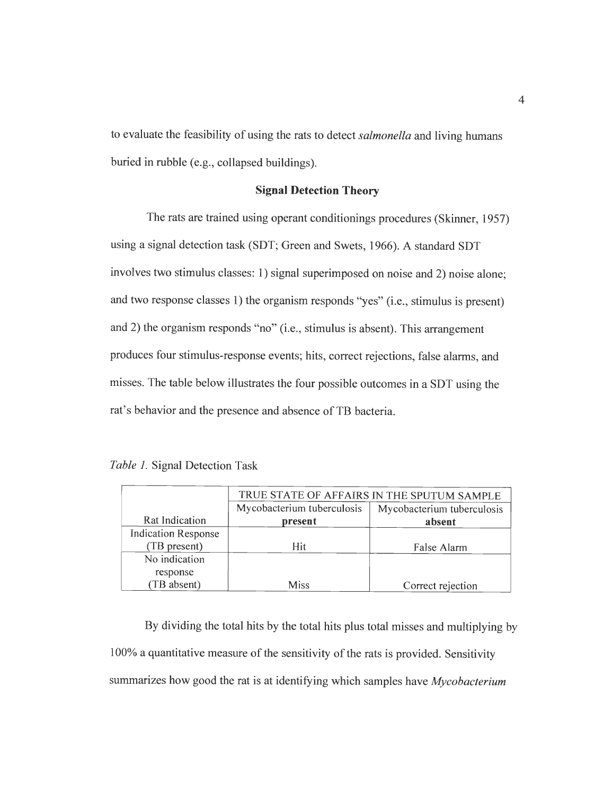to evaluate the feasibility of using the rats to detect**salmonella** and living humans buried in rubble (e.g., collapsed buildings).

#### *Signal Detection Theory*

The rats are trained using operant conditionings procedures (Skinner, 1957) using a signal detection task (SDT; Green and Swets, 1966). A standard SDT involves two stimulus classes: 1) signal superimposed on noise and 2) noise alone; and two response classes 1) the organism responds "yes" (i.e., stimulus is present) and 2) the organism responds "no" (i.e., stimulus is absent). This arrangement produces four stimulus-response events; hits, correct rejections, false alarms, and misses. The table below illustrates the four possible outcomes in a SDT using the rat's behavior and the presence and absence of TB bacteria.

|  |  |  |  | <i>Table 1.</i> Signal Detection Task |  |
|--|--|--|--|---------------------------------------|--|
|--|--|--|--|---------------------------------------|--|

|                            | TRUE STATE OF AFFAIRS IN THE SPUTUM SAMPLE |                            |  |  |  |  |  |
|----------------------------|--------------------------------------------|----------------------------|--|--|--|--|--|
|                            | Mycobacterium tuberculosis                 | Mycobacterium tuberculosis |  |  |  |  |  |
| Rat Indication             | present                                    | absent                     |  |  |  |  |  |
| <b>Indication Response</b> |                                            |                            |  |  |  |  |  |
| (TB present)               | Hit                                        | False Alarm                |  |  |  |  |  |
| No indication              |                                            |                            |  |  |  |  |  |
| response                   |                                            |                            |  |  |  |  |  |
| (TB absent)                | <b>Miss</b>                                | Correct rejection          |  |  |  |  |  |

By dividing the total hits by the total hits plus total misses and multiplying by 100% a quantitative measure of the sensitivity of the rats is provided. Sensitivity summarizes how good the rat is at identifying which samples have **Mycobacterium**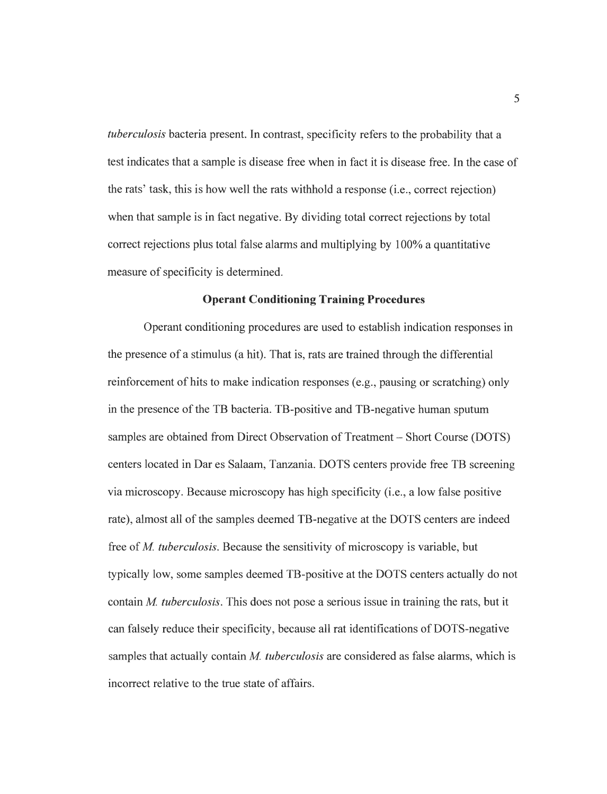**tuberculosis** bacteria present. In contrast, specificity refers to the probability that a test indicates that a sample is disease free when in fact it is disease free. In the case of the rats' task, this is how well the rats withhold a response (i.e., correct rejection) when that sample is in fact negative. By dividing total correct rejections by total correct rejections plus total false alarms and multiplying by 100% a quantitative measure of specificity is determined.

#### *Operant Conditioning Training Procedures*

Operant conditioning procedures are used to establish indication responses in the presence of a stimulus (a hit). That is, rats are trained through the differential reinforcement of hits to make indication responses (e.g., pausing or scratching) only in the presence of the TB bacteria. TB-positive and TB-negative human sputum samples are obtained from Direct Observation of Treatment – Short Course (DOTS) centers located in Dar es Salaam, Tanzania. DOTS centers provide free TB screening via microscopy. Because microscopy has high specificity (i.e., a low false positive rate), almost all of the samples deemed TB-negative at the DOTS centers are indeed free of *M. tuberculosis*. Because the sensitivity of microscopy is variable, but typically low, some samples deemed TB-positive at the DOTS centers actually do not contain **M. tuberculosis.** This does not pose a serious issue in training the rats, but it can falsely reduce their specificity, because all rat identifications of DOTS-negative samples that actually contain **M. tuberculosis** are considered as false alarms, which is incorrect relative to the true state of affairs.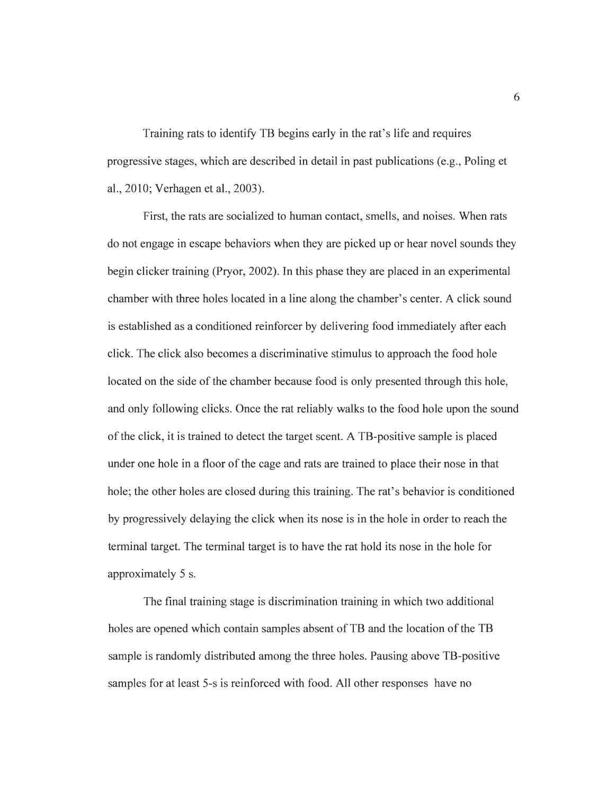Training rats to identify TB begins early in the rat's life and requires progressive stages, which are described in detail in past publications (e.g., Poling et al., 2010; Verhagen et al., 2003).

First, the rats are socialized to human contact, smells, and noises. When rats do not engage in escape behaviors when they are picked up or hear novel sounds they begin clicker training (Pryor, 2002). In this phase they are placed in an experimental chamber with three holes located in a line along the chamber's center. A click sound is established as a conditioned reinforcer by delivering food immediately after each click. The click also becomes a discriminative stimulus to approach the food hole located on the side of the chamber because food is only presented through this hole, and only following clicks. Once the rat reliably walks to the food hole upon the sound ofthe click, it is trained to detect the target scent. A TB-positive sample is placed under one hole in a floor of the cage and rats are trained to place their nose in that hole; the other holes are closed during this training. The rat's behavior is conditioned by progressively delaying the click when its nose is in the hole in order to reach the terminal target. The terminal target is to have the rat hold its nose in the hole for approximately 5 s.

The final training stage is discrimination training in which two additional holes are opened which contain samples absent of TB and the location of the TB sample is randomly distributed among the three holes. Pausing above TB-positive samples for at least 5-s is reinforced with food. All other responses have no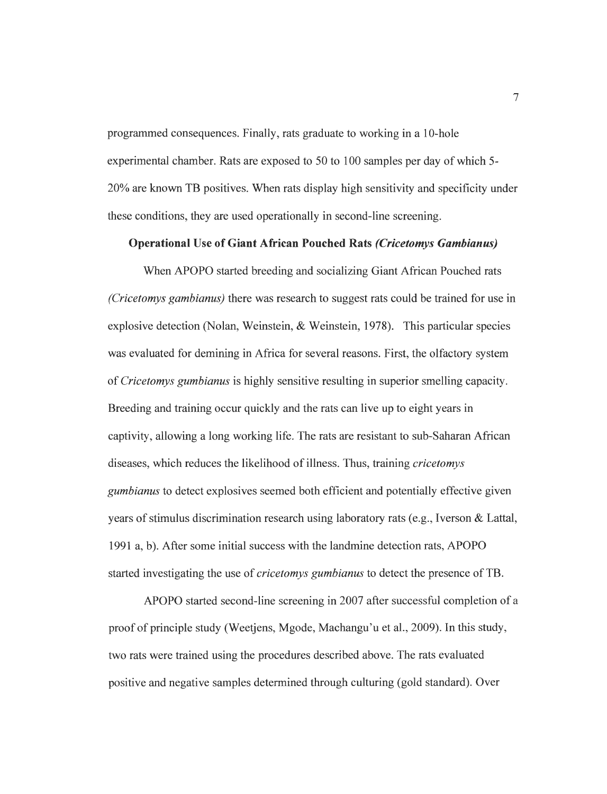programmed consequences. Finally, rats graduate to working in a 10-hole experimental chamber. Rats are exposed to 50 to 100 samples per day of which 5- 20% are known TB positives. When rats display high sensitivity and specificity under these conditions, they are used operationally in second-line screening.

#### *Operational Use of Giant African Pouched Rats (Cricetomys Gambianus)*

When APOPO started breeding and socializing Giant African Pouched rats **(Cricetomys gambianus)** there was research to suggest rats could be trained for use in explosive detection (Nolan, Weinstein, & Weinstein, 1978). This particular species was evaluated for demining in Africa for several reasons. First, the olfactory system of **Cricetomysgumbianus** is highly sensitive resulting in superior smelling capacity. Breeding and training occur quickly and the rats can live up to eight years in captivity, allowing a long working life. The rats are resistant to sub-Saharan African diseases, which reduces the likelihood ofillness. Thus, training **cricetomys gumbianus**to detect explosives seemed both efficient and potentially effective given years of stimulus discrimination research using laboratory rats (e.g., Iverson  $&$  Lattal, 1991 a, b). After some initial success with the landmine detection rats, APOPO started investigating the use **of cricetomys gumbianus** to detect the presence ofTB.

APOPO started second-line screening in 2007 after successful completion of a proof of principle study (Weetjens, Mgode, Machangu'u et al., 2009). In this study, two rats were trained using the procedures described above. The rats evaluated positive and negative samples determined through culturing (gold standard). Over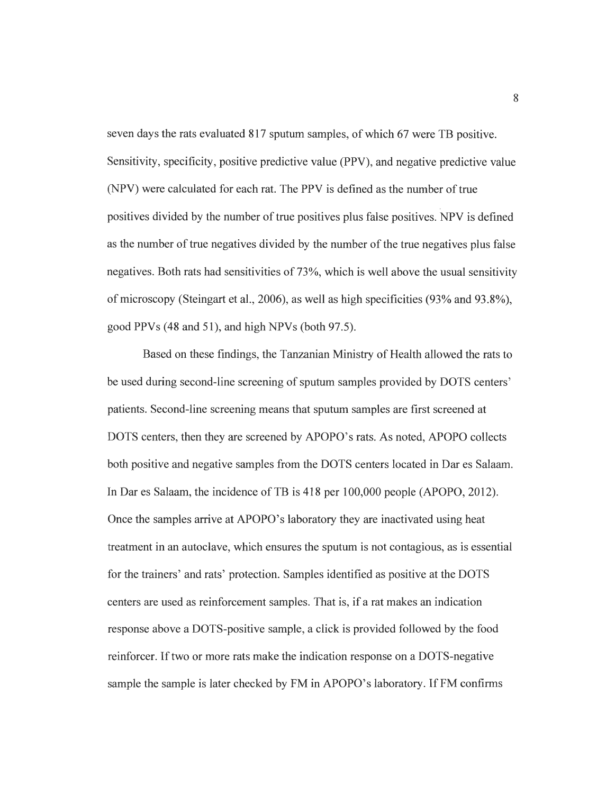seven days the rats evaluated 817 sputum samples, of which 67 were TB positive. Sensitivity, specificity, positive predictive value (PPV), and negative predictive value (NPV) were calculated for each rat. The PPV is defined as the number of true positives divided by the number of true positives plus false positives. NPV is defined as the number of true negatives divided by the number of the true negatives plus false negatives. Both rats had sensitivities of 73%, which is well above the usual sensitivity ofmicroscopy (Steingart et al., 2006), as well as high specificities (93% and 93.8%), good PPVs (48 and 51), and high NPVs (both 97.5).

Based on these findings, the Tanzanian Ministry of Health allowed the rats to be used during second-line screening of sputum samples provided by DOTS centers' patients. Second-line screening means that sputum samples are first screened at DOTS centers, then they are screened by APOPO's rats. As noted, APOPO collects both positive and negative samples from the DOTS centers located in Dar es Salaam. In Dar es Salaam, the incidence of TB is 418 per 100,000 people (APOPO, 2012). Once the samples arrive at APOPO's laboratory they are inactivated using heat treatment in an autoclave, which ensures the sputum is not contagious, as is essential for the trainers' and rats' protection. Samples identified as positive at the DOTS centers are used as reinforcement samples. That is, if a rat makes an indication response above a DOTS-positive sample, a click is provided followed by the food reinforcer. Iftwo or more rats make the indication response on a DOTS-negative sample the sample is later checked by FM in APOPO's laboratory. If FM confirms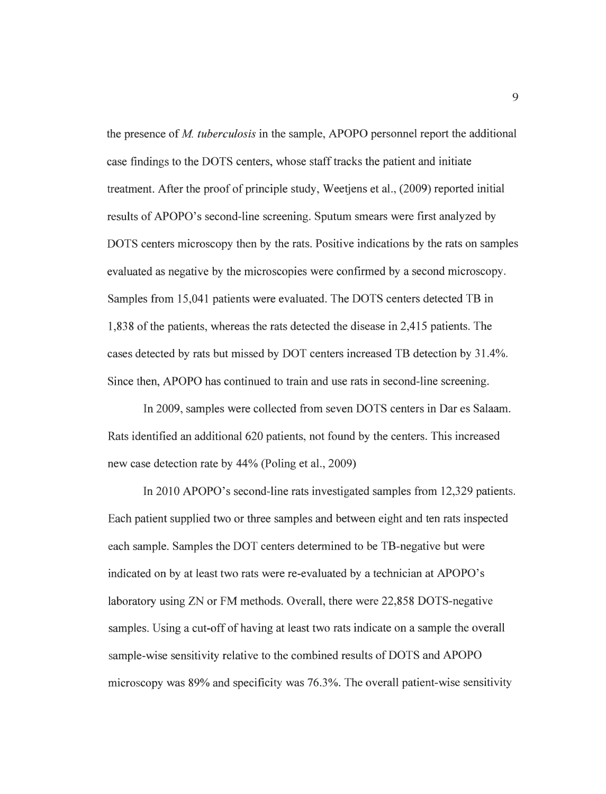the presence of *M. tuberculosis* in the sample, APOPO personnel report the additional case findings to the DOTS centers, whose stafftracks the patient and initiate treatment. After the proof of principle study, Weetjens et al., (2009) reported initial results of APOPO's second-line screening. Sputum smears were first analyzed by DOTS centers microscopy then by the rats. Positive indications by the rats on samples evaluated as negative by the microscopies were confirmed by a second microscopy. Samples from 15,041 patients were evaluated. The DOTS centers detected TB in 1,838 of the patients, whereas the rats detected the disease in 2,415 patients. The cases detected by rats but missed by DOT centers increased TB detection by 31.4%. Since then, APOPO has continued to train and use rats in second-line screening.

In 2009, samples were collected from seven DOTS centers in Dar es Salaam. Rats identified an additional 620 patients, not found by the centers. This increased new case detection rate by 44% (Poling et al., 2009)

In 2010 APOPO's second-line rats investigated samples from 12,329 patients. Each patient supplied two or three samples and between eight and ten rats inspected each sample. Samples the DOT centers determined to be TB-negative but were indicated on by at least two rats were re-evaluated by a technician at APOPO's laboratory using ZN or FM methods. Overall, there were 22,858 DOTS-negative samples. Using a cut-off of having at least two rats indicate on a sample the overall sample-wise sensitivity relative to the combined results of DOTS and APOPO microscopy was 89% and specificity was 76.3%. The overall patient-wise sensitivity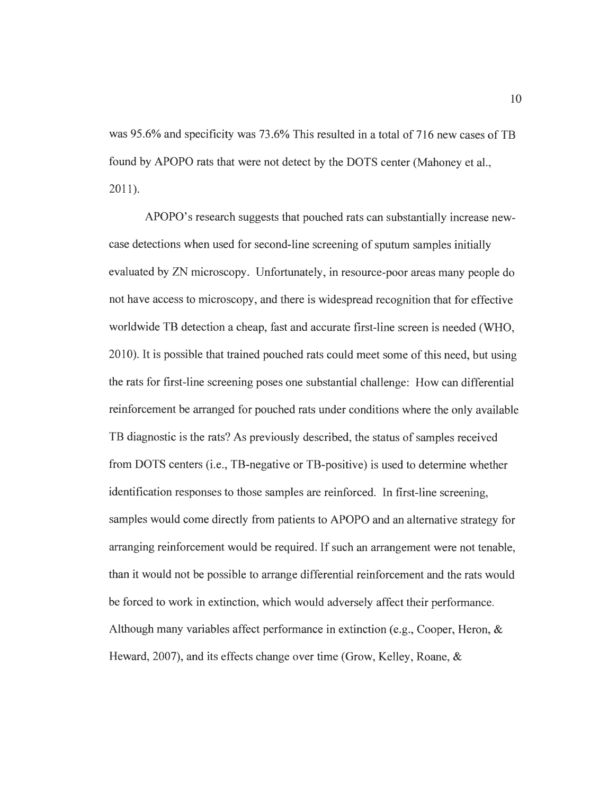was 95.6% and specificity was 73.6% This resulted in a total of 716 new cases of TB found by APOPO rats that were not detect by the DOTS center (Mahoney et al., 2011).

APOPO's research suggests that pouched rats can substantially increase newcase detections when used for second-line screening of sputum samples initially evaluated by ZN microscopy. Unfortunately, in resource-poor areas many people do not have access to microscopy, and there is widespread recognition that for effective worldwide TB detection a cheap, fast and accurate first-line screen is needed (WHO, 2010). It is possible that trained pouched rats could meet some ofthis need, but using the rats for first-line screening poses one substantial challenge: How can differential reinforcement be arranged for pouched rats under conditions where the only available TB diagnostic is the rats? As previously described, the status of samples received from DOTS centers (i.e., TB-negative or TB-positive) is used to determine whether identification responses to those samples are reinforced. In first-line screening, samples would come directly from patients to APOPO and an alternative strategy for arranging reinforcement would be required. If such an arrangement were not tenable, than it would not be possible to arrange differential reinforcement and the rats would be forced to work in extinction, which would adversely affect their performance. Although many variables affect performance in extinction (e.g., Cooper, Heron,  $\&$ Heward, 2007), and its effects change over time (Grow, Kelley, Roane, &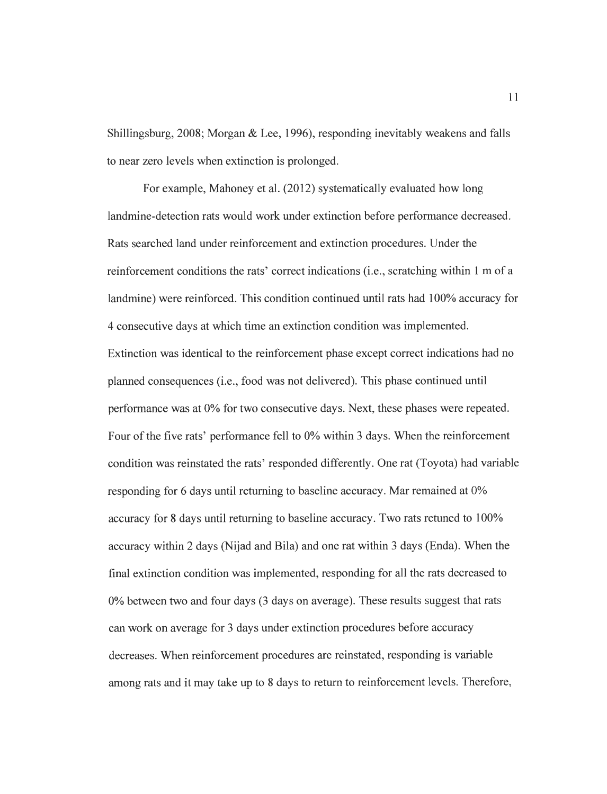Shillingsburg, 2008; Morgan & Lee, 1996), responding inevitably weakens and falls to near zero levels when extinction is prolonged.

For example, Mahoney et al. (2012) systematically evaluated how long landmine-detection rats would work under extinction before performance decreased. Rats searched land under reinforcement and extinction procedures. Under the reinforcement conditions the rats' correct indications (i.e., scratching within 1 m of a landmine) were reinforced. This condition continued until rats had 100% accuracy for 4 consecutive days at which time an extinction condition was implemented. Extinction was identical to the reinforcement phase except correct indications had no planned consequences (i.e., food was not delivered). This phase continued until performance was at 0% for two consecutive days. Next, these phases were repeated. Four of the five rats' performance fell to 0% within 3 days. When the reinforcement condition was reinstated the rats' responded differently. One rat (Toyota) had variable responding for 6 days until returning to baseline accuracy. Mar remained at 0% accuracy for 8 days until returning to baseline accuracy. Two rats retuned to 100% accuracy within 2 days (Nijad and Bila) and one rat within 3 days (Enda). When the final extinction condition was implemented, responding for all the rats decreased to 0% between two and four days (3 days on average). These results suggest that rats can work on average for 3 days under extinction procedures before accuracy decreases. When reinforcement procedures are reinstated, responding is variable among rats and it may take up to 8 days to return to reinforcement levels. Therefore,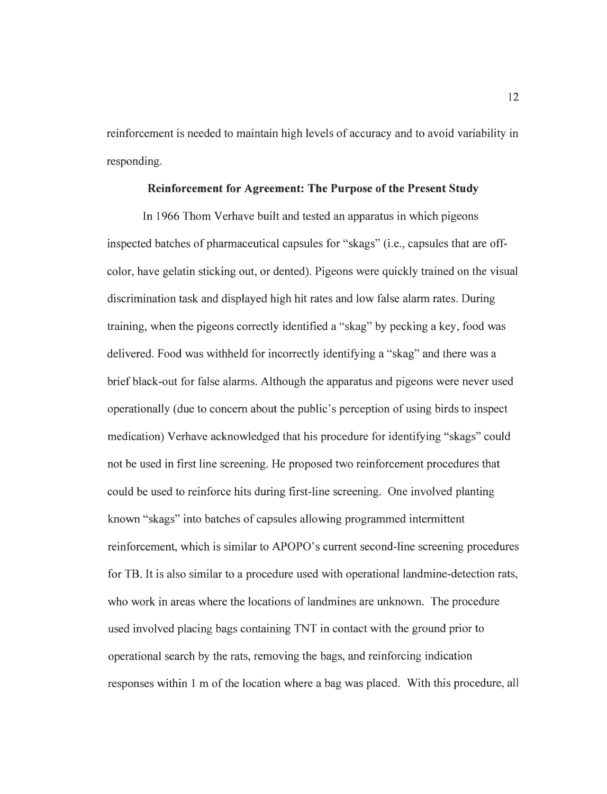reinforcement is needed to maintain high levels of accuracy and to avoid variability in responding.

#### *Reinforcement for Agreement: The Purpose ofthe Present Study*

In 1966 Thom Verhave built and tested an apparatus in which pigeons inspected batches of pharmaceutical capsules for "skags" (i.e., capsules that are offcolor, have gelatin sticking out, or dented). Pigeons were quickly trained on the visual discrimination task and displayed high hit rates and low false alarm rates. During training, when the pigeons correctly identified a "skag" by pecking a key, food was delivered. Food was withheld for incorrectly identifying a "skag" and there was a brief black-out for false alarms. Although the apparatus and pigeons were never used operationally (due to concern about the public's perception of using birds to inspect medication) Verhave acknowledged that his procedure for identifying "skags" could not be used in first line screening. He proposed two reinforcement procedures that could be used to reinforce hits during first-line screening. One involved planting known "skags" into batches of capsules allowing programmed intermittent reinforcement, which is similar to APOPO's current second-line screening procedures for TB. It is also similar to a procedure used with operational landmine-detection rats, who work in areas where the locations of landmines are unknown. The procedure used involved placing bags containing TNT in contact with the ground prior to operational search by the rats, removing the bags, and reinforcing indication responses within 1 m of the location where a bag was placed. With this procedure, all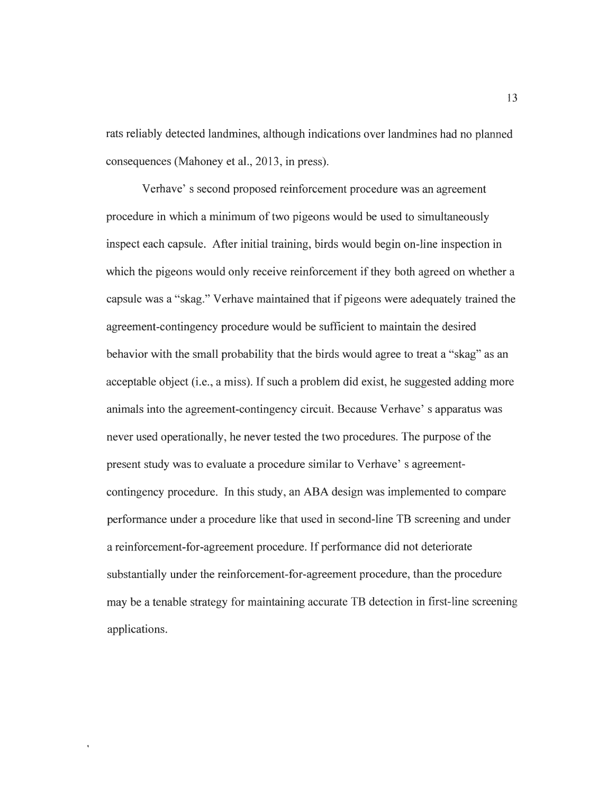rats reliably detected landmines, although indications over landmines had no planned consequences (Mahoney et al., 2013, in press).

Verhave' s second proposed reinforcement procedure was an agreement procedure in which a minimum of two pigeons would be used to simultaneously inspect each capsule. After initial training, birds would begin on-line inspection in which the pigeons would only receive reinforcement if they both agreed on whether a capsule was a "skag." Verhave maintained that if pigeons were adequately trained the agreement-contingency procedure would be sufficient to maintain the desired behavior with the small probability that the birds would agree to treat a "skag" as an acceptable object (i.e., a miss). If such a problem did exist, he suggested adding more animals into the agreement-contingency circuit. Because Verhave' s apparatus was never used operationally, he never tested the two procedures. The purpose of the present study was to evaluate a procedure similar to Verhave' s agreementcontingency procedure. In this study, an ABA design was implemented to compare performance under a procedure like that used in second-line TB screening and under a reinforcement-for-agreement procedure. If performance did not deteriorate substantially under the reinforcement-for-agreement procedure, than the procedure may be a tenable strategy for maintaining accurate TB detection in first-line screening applications.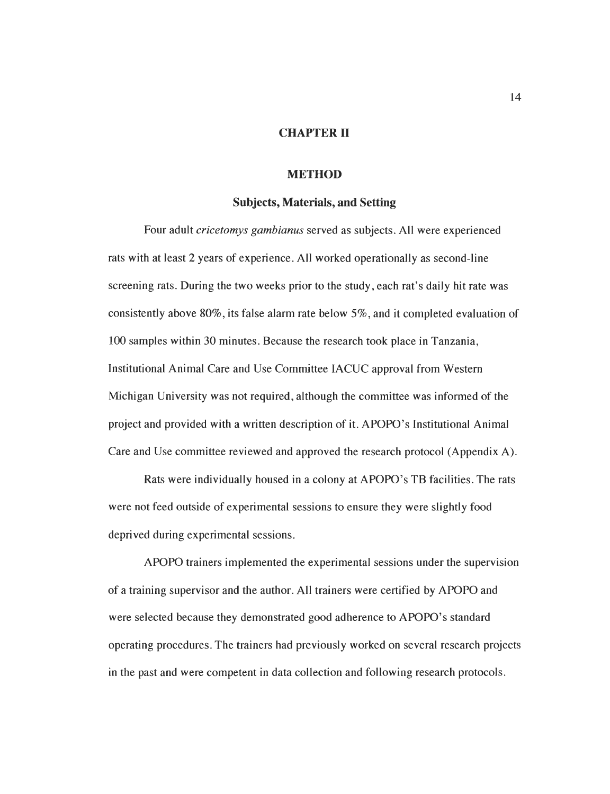#### *CHAPTER II*

#### *METHOD*

#### *Subjects, Materials, and Setting*

Four adult *cricetomys gambianus* served as subjects. All were experienced rats with at least 2 years of experience. All worked operationally as second-line screening rats. During the two weeks prior to the study, each rat's daily hit rate was consistently above 80%, its false alarm rate below 5%, and it completed evaluation of 100 samples within 30 minutes. Because the research took place in Tanzania, Institutional Animal Care and Use Committee IACUC approval from Western Michigan University was not required, although the committee was informed of the project and provided with a written description of it. APOPO's Institutional Animal Care and Use committee reviewed and approved the research protocol (Appendix A).

Rats were individually housed in a colony at APOPO's TB facilities. The rats were not feed outside of experimental sessions to ensure they were slightly food deprived during experimental sessions.

APOPO trainers implemented the experimental sessions under the supervision of a training supervisor and the author. All trainers were certified by APOPO and were selected because they demonstrated good adherence to APOPO's standard operating procedures. The trainers had previously worked on several research projects in the past and were competent in data collection and following research protocols.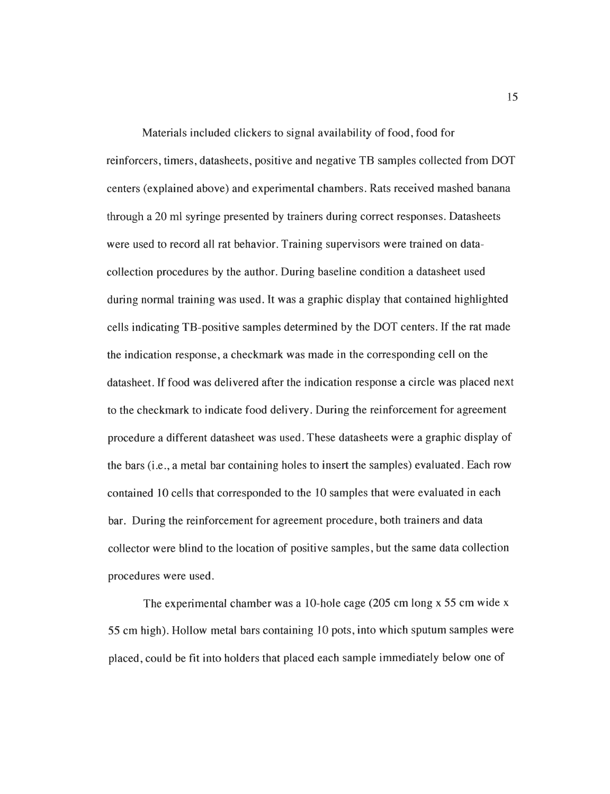Materials included clickers to signal availability of food, food for reinforcers, timers, datasheets, positive and negative TB samples collected from DOT centers (explained above) and experimental chambers. Rats received mashed banana through a 20 ml syringe presented by trainers during correct responses. Datasheets were used to record all rat behavior. Training supervisors were trained on datacollection procedures by the author. During baseline condition a datasheet used during normal training was used. It was a graphic display that contained highlighted cells indicating TB-positive samples determined by the DOT centers. If the rat made the indication response, a checkmark was made in the corresponding cell on the datasheet. If food was delivered after the indication response a circle was placed next to the checkmark to indicate food delivery. During the reinforcement for agreement procedure a different datasheet was used. These datasheets were a graphic display of the bars (i.e., a metal bar containing holes to insert the samples) evaluated. Each row contained 10 cells that corresponded to the 10 samples that were evaluated in each bar. During the reinforcement for agreement procedure, both trainers and data collector were blind to the location of positive samples, but the same data collection procedures were used.

The experimental chamber was a 10-hole cage (205 cm long x 55 cm wide x 55 cm high). Hollow metal bars containing 10 pots, into which sputum samples were placed, could be fit into holders that placed each sample immediately below one of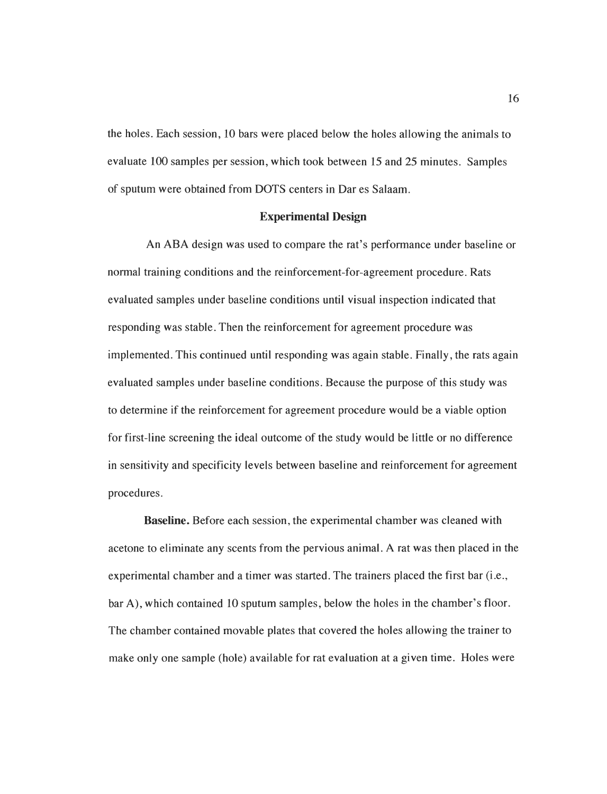the holes. Each session, 10 bars were placed below the holes allowing the animals to evaluate 100 samples per session, which took between 15 and 25 minutes. Samples of sputum were obtained from DOTS centers in Dar es Salaam.

#### *Experimental Design*

An ABA design was used to compare the rat's performance under baseline or normal training conditions and the reinforcement-for-agreement procedure. Rats evaluated samples under baseline conditions until visual inspection indicated that responding was stable. Then the reinforcement for agreement procedure was implemented. This continued until responding was again stable. Finally, the rats again evaluated samples under baseline conditions. Because the purpose of this study was to determine if the reinforcement for agreement procedure would be a viable option for first-line screening the ideal outcome of the study would be little or no difference in sensitivity and specificity levels between baseline and reinforcement for agreement procedures.

*Baseline.* Before each session, the experimental chamber was cleaned with acetone to eliminate any scents from the pervious animal. A rat was then placed in the experimental chamber and a timer was started. The trainers placed the first bar (i.e., bar A), which contained 10 sputum samples, below the holes in the chamber's floor. The chamber contained movable plates that covered the holes allowing the trainer to make only one sample (hole) available for rat evaluation at a given time. Holes were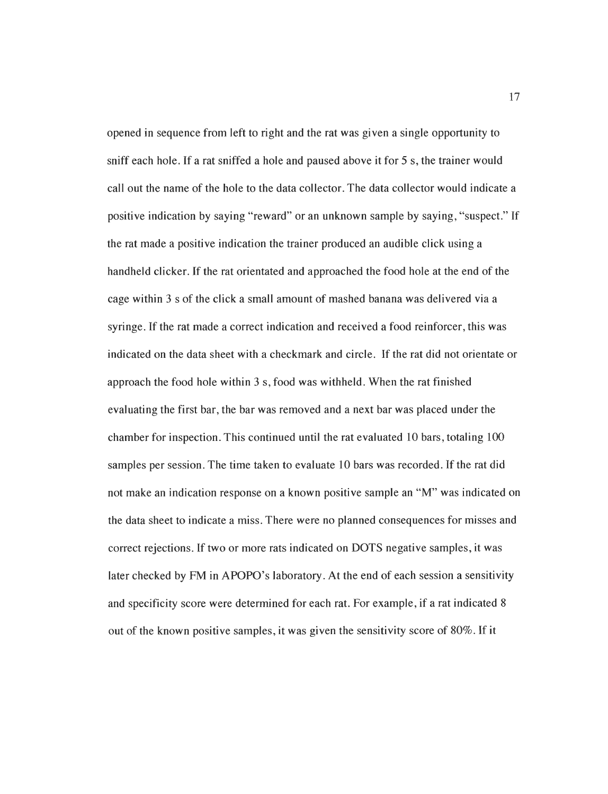opened in sequence from left to right and the rat was given a single opportunity to sniff each hole. If a rat sniffed a hole and paused above it for 5 s, the trainer would call out the name of the hole to the data collector. The data collector would indicate a positive indication by saying "reward" or an unknown sample by saying, "suspect." If the rat made a positive indication the trainer produced an audible click using a handheld clicker. If the rat orientated and approached the food hole at the end of the cage within 3 s of the click a small amount of mashed banana was delivered via a syringe. If the rat made a correct indication and received a food reinforcer, this was indicated on the data sheet with a checkmark and circle. If the rat did not orientate or approach the food hole within 3 s, food was withheld. When the rat finished evaluating the first bar, the bar was removed and a next bar was placed under the chamber for inspection. This continued until the rat evaluated 10 bars, totaling 100 samples per session. The time taken to evaluate 10 bars was recorded. If the rat did not make an indication response on a known positive sample an "M" was indicated on the data sheet to indicate a miss. There were no planned consequences for misses and correct rejections. If two or more rats indicated on DOTS negative samples, it was later checked by FM in APOPO's laboratory. At the end of each session a sensitivity and specificity score were determined for each rat. For example, if a rat indicated 8 out of the known positive samples, it was given the sensitivity score of 80%. If it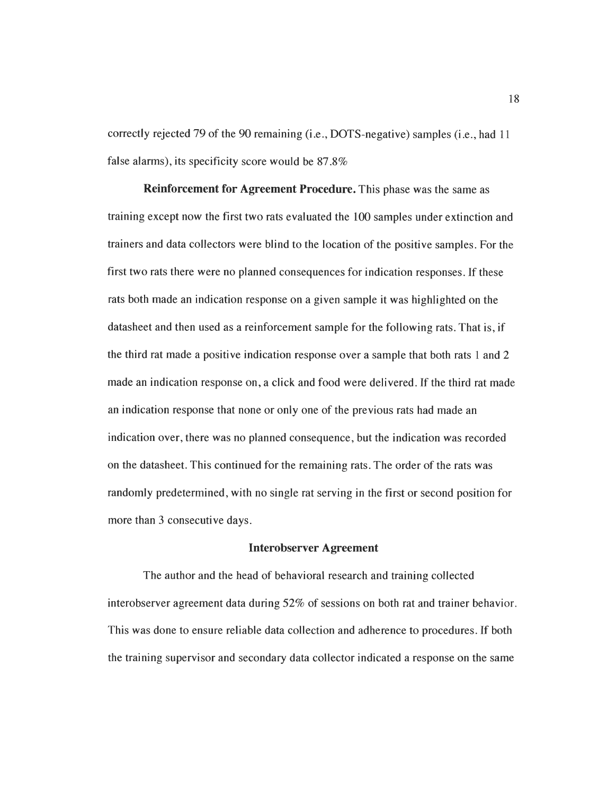correctly rejected 79 of the 90 remaining (i.e., DOTS-negative) samples (i.e., had 11 false alarms), its specificity score would be 87.8%

*Reinforcement for Agreement Procedure.* This phase was the same as training except now the first two rats evaluated the 100 samples under extinction and trainers and data collectors were blind to the location of the positive samples. For the first two rats there were no planned consequences for indication responses. If these rats both made an indication response on a given sample it was highlighted on the datasheet and then used as a reinforcement sample for the following rats. That is, if the third rat made a positive indication response over a sample that both rats 1 and 2 made an indication response on, a click and food were delivered. If the third rat made an indication response that none or only one of the previous rats had made an indication over, there was no planned consequence, but the indication was recorded on the datasheet. This continued for the remaining rats. The order of the rats was randomly predetermined, with no single rat serving in the first or second position for more than 3 consecutive days.

#### *Interobserver Agreement*

The author and the head of behavioral research and training collected interobserver agreement data during 52% of sessions on both rat and trainer behavior. This was done to ensure reliable data collection and adherence to procedures. If both the training supervisor and secondary data collector indicated a response on the same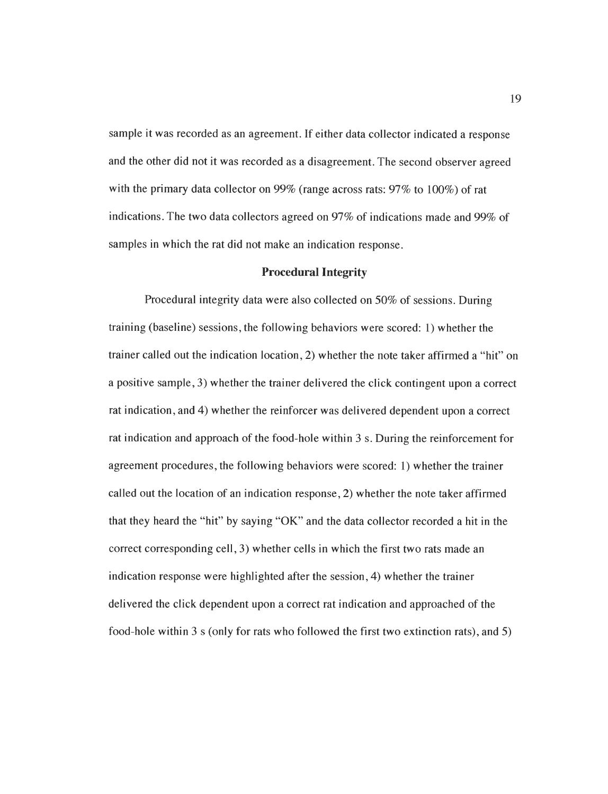sample it was recorded as an agreement. If either data collector indicated a response and the other did not it was recorded as a disagreement.The second observer agreed with the primary data collector on 99% (range across rats: 97% to 100%) of rat indications. The two data collectors agreed on 97% of indications made and 99% of samples in which the rat did not make an indication response.

#### *Procedural Integrity*

Procedural integrity data were also collected on 50% of sessions. During training (baseline) sessions, the following behaviors were scored: 1) whether the trainer called out the indication location, 2) whether the note taker affirmed a "hit" on a positive sample, 3) whether the trainer delivered the click contingent upon a correct rat indication, and 4) whether the reinforcer was delivered dependent upon a correct rat indication and approach of the food-hole within 3 s. During the reinforcement for agreement procedures, the following behaviors were scored: 1) whether the trainer called out the location of an indication response, 2) whether the note taker affirmed that they heard the "hit" by saying "OK" and the data collector recorded a hit in the correct corresponding cell, 3) whether cells in which the first two rats made an indication response were highlighted after the session, 4) whether the trainer delivered the click dependent upon a correct rat indication and approached of the food-hole within 3 s (only for rats who followed the first two extinction rats), and 5)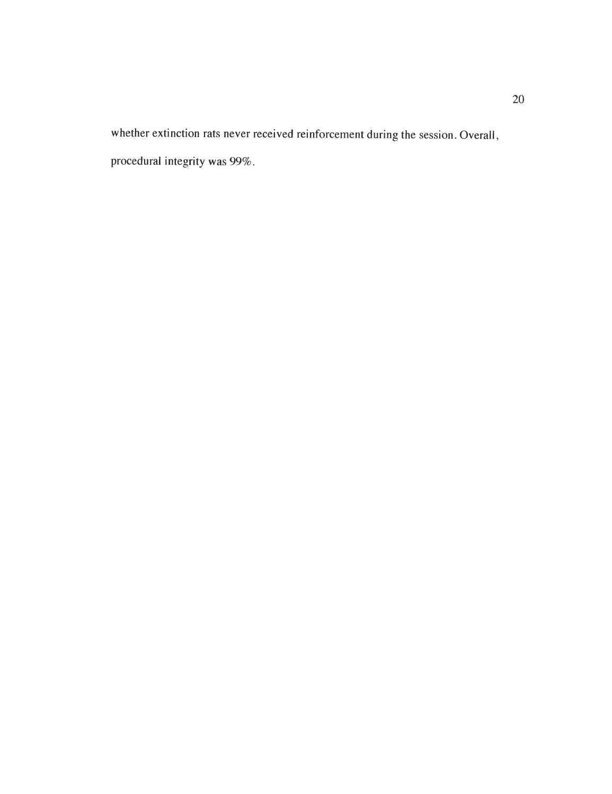whether extinction rats never received reinforcement during the session. Overall, procedural integrity was 99%.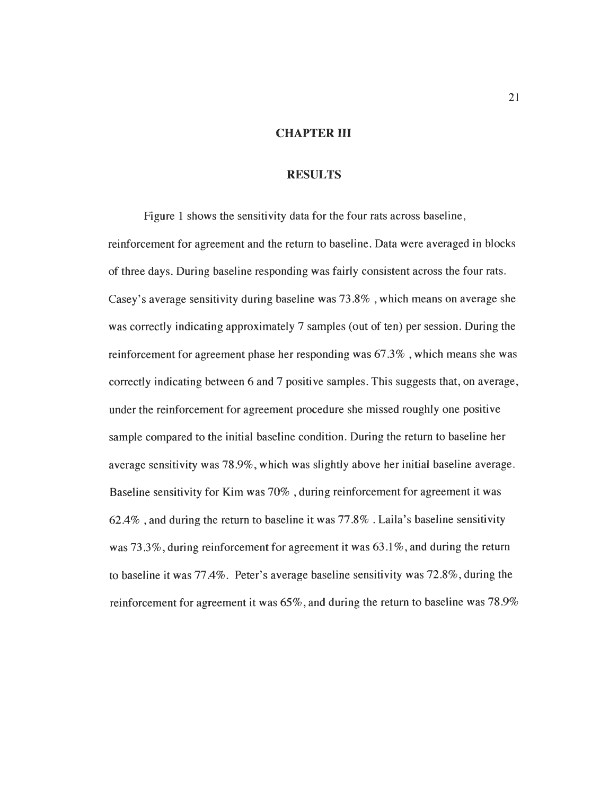#### *CHAPTER III*

#### *RESULTS*

Figure 1 shows the sensitivity data for the four rats across baseline, reinforcement for agreement and the return to baseline. Data were averaged in blocks of three days. During baseline responding was fairly consistent across the four rats. Casey's average sensitivity during baseline was 73.8% , which means on average she was correctly indicating approximately 7 samples (out of ten) per session. During the reinforcement for agreement phase her responding was 67.3% , which means she was correctly indicating between 6 and 7 positive samples. This suggests that, on average, under the reinforcement for agreement procedure she missed roughly one positive sample compared to the initial baseline condition. During the return to baseline her average sensitivity was 78.9%, which was slightly above her initial baseline average. Baseline sensitivity for Kim was 70% , during reinforcement for agreement it was 62.4% , and during the return to baseline it was 77.8% . Laila's baseline sensitivity was 73.3%, during reinforcement for agreement it was 63.1%, and during the return to baseline it was 77.4%. Peter's average baseline sensitivity was 72.8%, during the reinforcement for agreement it was 65%, and during the return to baseline was 78.9%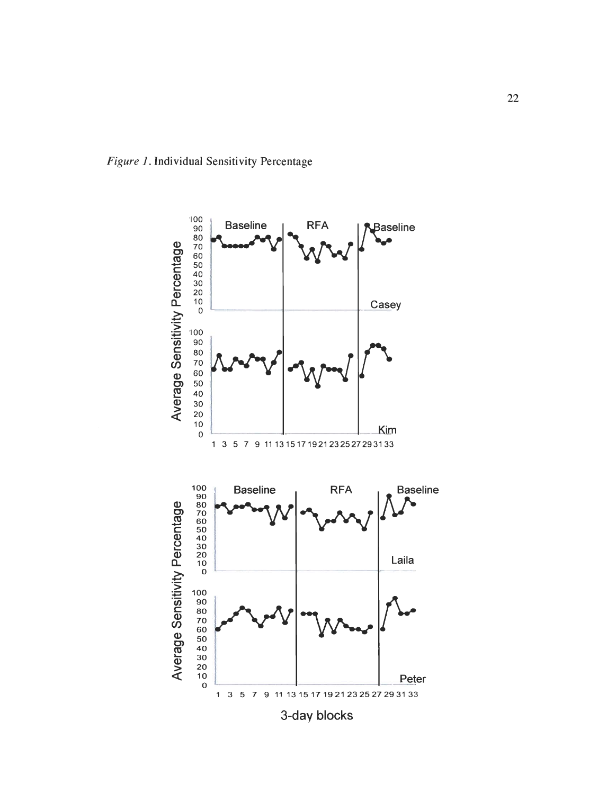

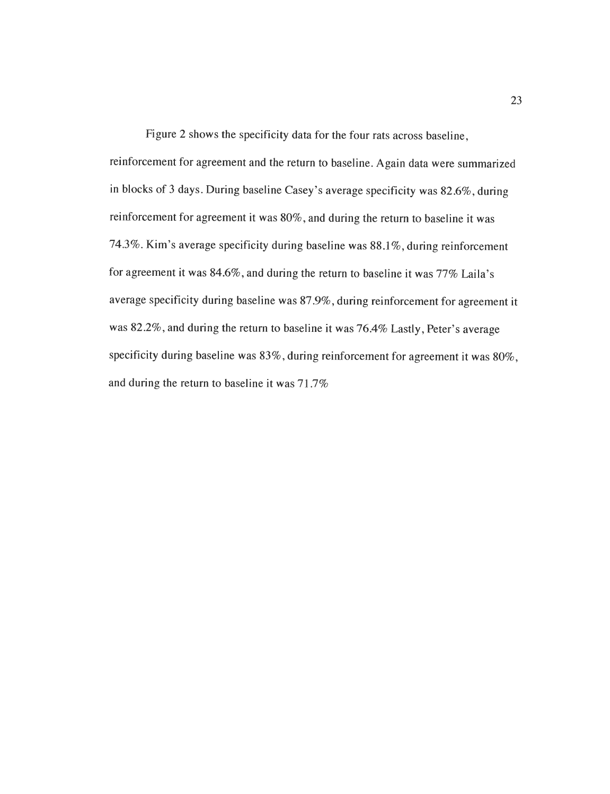Figure 2 shows the specificity data for the four rats across baseline, reinforcement for agreement and the return to baseline. Again data were summarized in blocks of 3 days. During baseline Casey's average specificity was 82.6%, during reinforcement for agreement it was 80%, and during the return to baseline it was 74.3%. Kim's average specificity during baseline was 88.1%, during reinforcement for agreement it was 84.6%, and during the return to baseline it was 77% Laila's average specificity during baseline was 87.9%, during reinforcement for agreement it was 82.2%, and during the return to baseline it was 76.4% Lastly, Peter's average specificity during baseline was 83%, during reinforcement for agreement it was 80%, and during the return to baseline it was 71.7%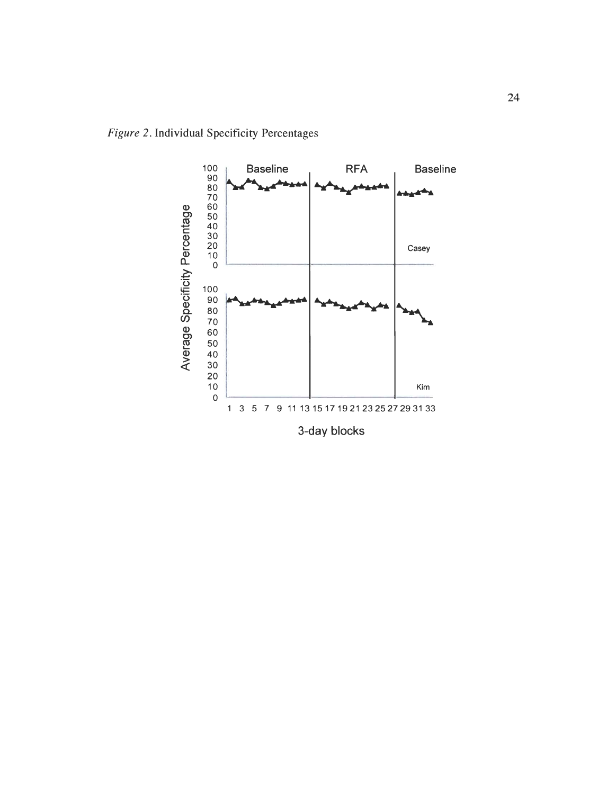**Figure 2.** Individual Specificity Percentages

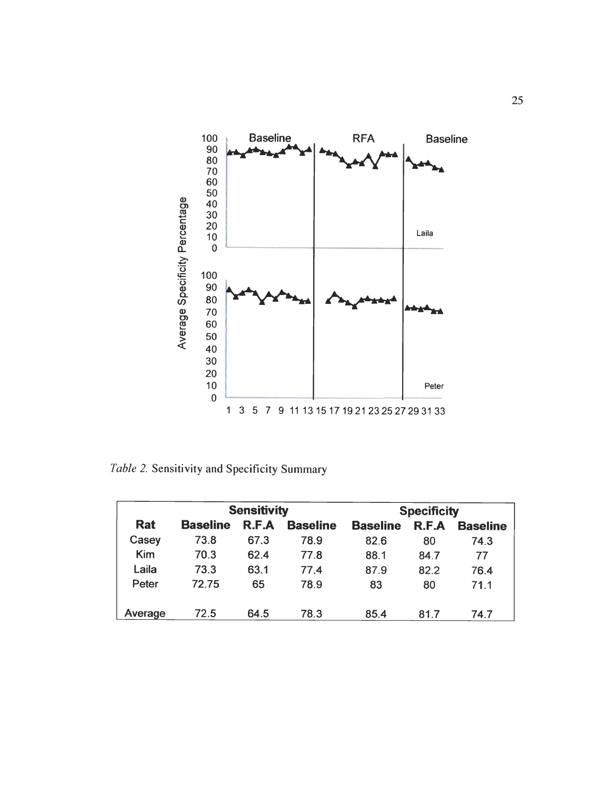

*Table 2. Sensitivity and Specificity Summary*

| <b>Sensitivity</b> |                 |       |                 |                 | <b>Specificity</b> |                 |
|--------------------|-----------------|-------|-----------------|-----------------|--------------------|-----------------|
| <b>Rat</b>         | <b>Baseline</b> | R.F.A | <b>Baseline</b> | <b>Baseline</b> | R.F.A              | <b>Baseline</b> |
| Casey              | 73.8            | 67.3  | 78.9            | 82.6            | 80                 | 74.3            |
| <b>Kim</b>         | 70.3            | 62.4  | 77.8            | 88.1            | 84.7               | 77              |
| Laila              | 73.3            | 63.1  | 77.4            | 87.9            | 82.2               | 76.4            |
| Peter              | 7275            | 65    | 78.9            | 83              | 80                 | 71.1            |
| Average            | 72.5            | 64.5  | 78.3            | 85.4            | 81.7               | 74.7            |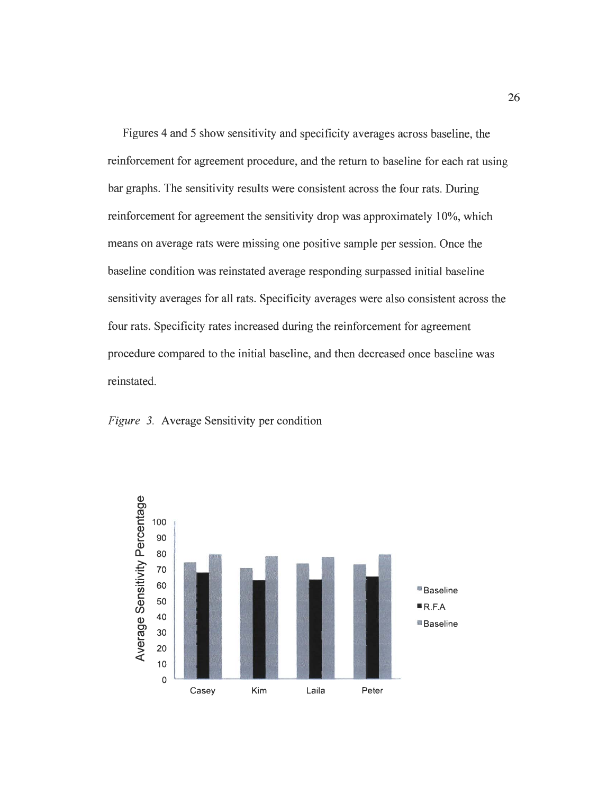Figures 4 and 5 show sensitivity and specificity averages across baseline, the reinforcement for agreement procedure, and the return to baseline for each rat using bar graphs. The sensitivity results were consistent across the four rats. During reinforcement for agreement the sensitivity drop was approximately 10%, which means on average rats were missing one positive sample per session. Once the baseline condition was reinstated average responding surpassed initial baseline sensitivity averages for all rats. Specificity averages were also consistent across the four rats. Specificity rates increased during the reinforcement for agreement procedure compared to the initial baseline, and then decreased once baseline was reinstated.



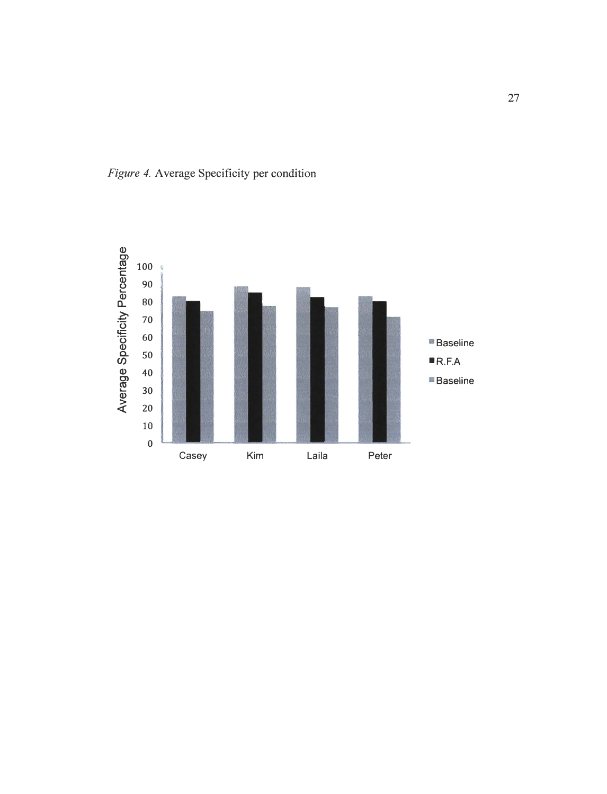

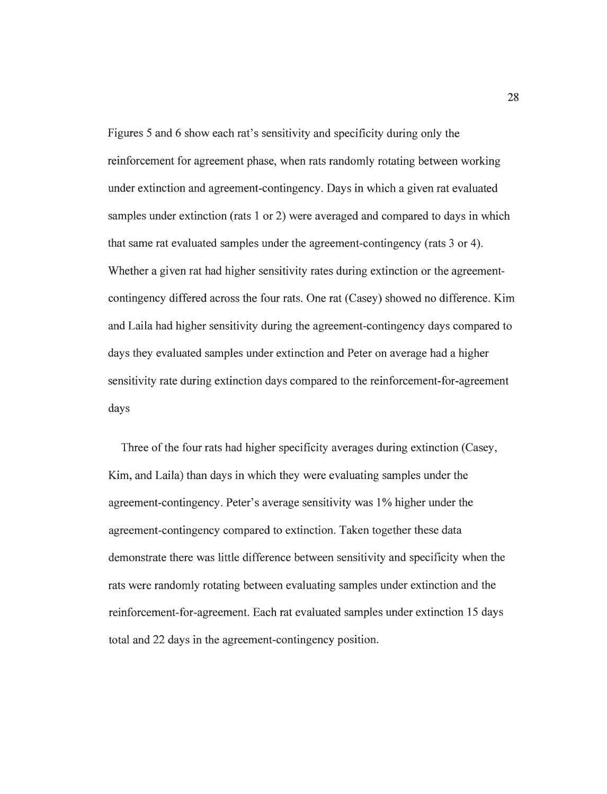Figures 5 and 6 show each rat's sensitivity and specificity during only the reinforcement for agreement phase, when rats randomly rotating between working under extinction and agreement-contingency. Days in which a given rat evaluated samples under extinction (rats 1 or 2) were averaged and compared to days in which that same rat evaluated samples under the agreement-contingency (rats 3 or 4). Whether a given rat had higher sensitivity rates during extinction or the agreementcontingency differed across the four rats. One rat (Casey) showed no difference. Kim and Laila had higher sensitivity during the agreement-contingency days compared to days they evaluated samples under extinction and Peter on average had a higher sensitivity rate during extinction days compared to the reinforcement-for-agreement days

Three of the four rats had higher specificity averages during extinction (Casey, Kim, and Laila) than days in which they were evaluating samples under the agreement-contingency. Peter's average sensitivity was 1% higher under the agreement-contingency compared to extinction. Taken together these data demonstrate there was little difference between sensitivity and specificity when the rats were randomly rotating between evaluating samples under extinction and the reinforcement-for-agreement. Each rat evaluated samples under extinction 15 days total and 22 days in the agreement-contingency position.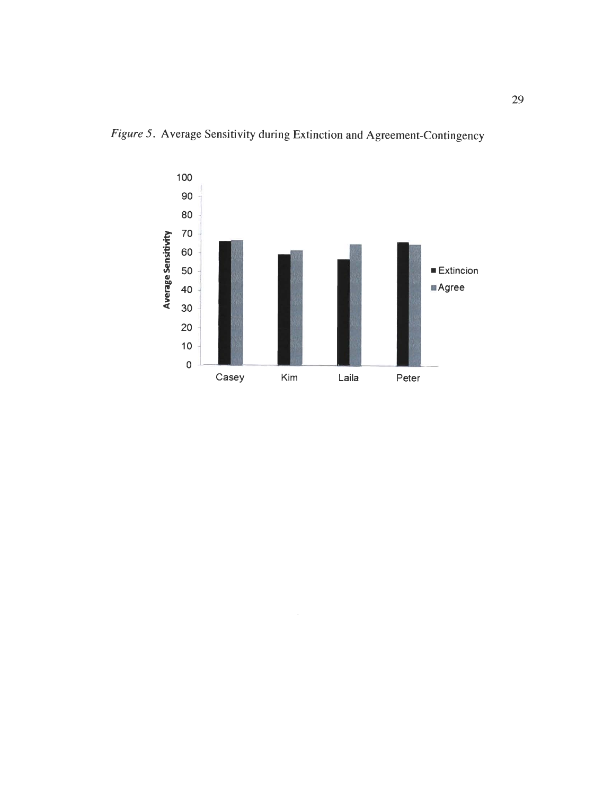

 $\bar{\gamma}$ 

Figure 5. Average Sensitivity during Extinction and Agreement-Contingency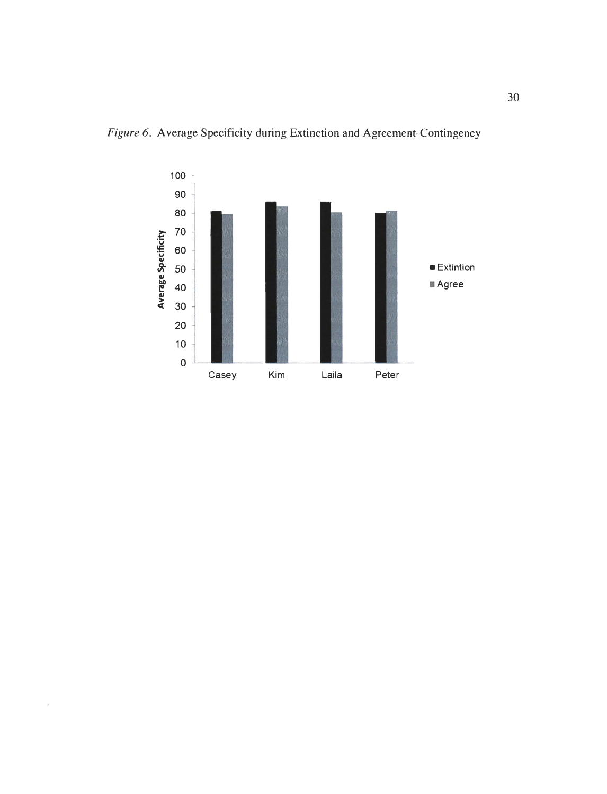

 $\hat{\boldsymbol{\beta}}$ 

**Figure 6.** Average Specificity during Extinction and Agreement-Contingency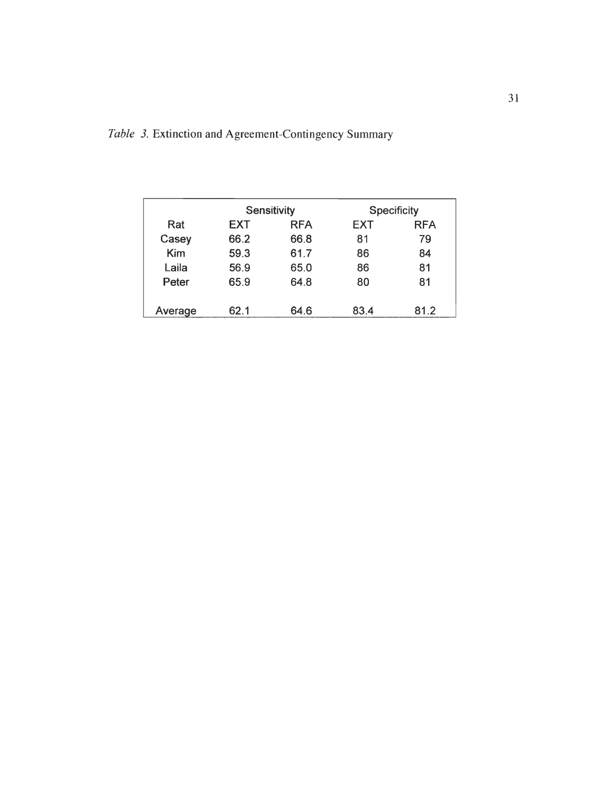| Table 3. Extinction and Agreement-Contingency Summary |  |  |  |  |  |  |  |  |  |  |  |
|-------------------------------------------------------|--|--|--|--|--|--|--|--|--|--|--|
|-------------------------------------------------------|--|--|--|--|--|--|--|--|--|--|--|

|            |      | Sensitivity |            | <b>Specificity</b> |
|------------|------|-------------|------------|--------------------|
| Rat        | EXT  | <b>RFA</b>  | <b>EXT</b> | <b>RFA</b>         |
| Casey      | 66.2 | 66.8        | 81         | 79                 |
| <b>Kim</b> | 59.3 | 61.7        | 86         | 84                 |
| Laila      | 56.9 | 65.0        | 86         | 81                 |
| Peter      | 65.9 | 64.8        | 80         | 81                 |
|            |      |             |            |                    |
| Average    | 62.1 | 64.6        | 83.4       | 81.2               |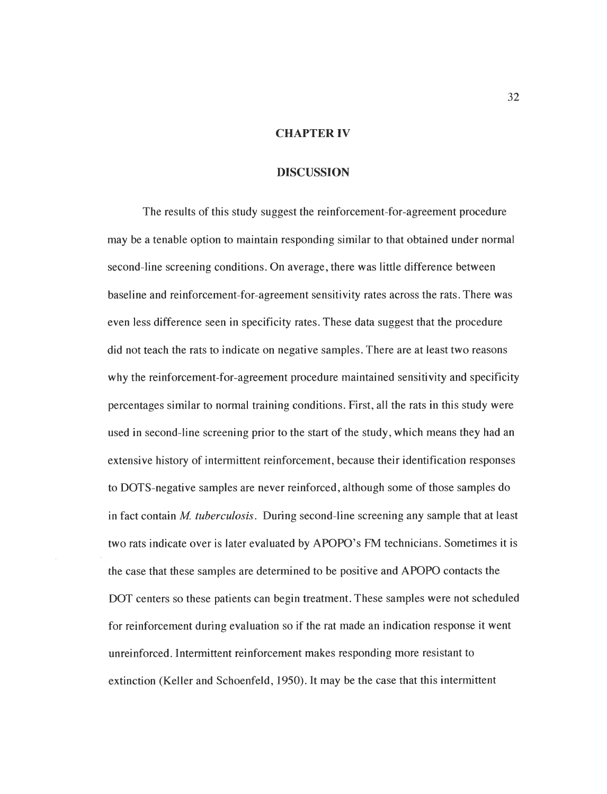#### *CHAPTER IV*

#### *DISCUSSION*

The results of this study suggest the reinforcement-for-agreement procedure may be a tenable option to maintain responding similar to that obtained under normal second-line screening conditions. On average, there was little difference between baseline and reinforcement-for-agreement sensitivity rates across the rats. There was even less difference seen in specificity rates. These data suggest that the procedure did not teach the rats to indicate on negative samples. There are at least two reasons why the reinforcement-for-agreement procedure maintained sensitivity and specificity percentages similar to normal training conditions. First, all the rats in this study were used in second-line screening prior to the start of the study, which means they had an extensive history of intermittent reinforcement, because their identification responses to DOTS-negative samples are never reinforced, although some of those samples do in fact contain **M. tuberculosis.** During second-line screening any sample that at least two rats indicate over is later evaluated by APOPO's FM technicians. Sometimes it is the case that these samples are determined to be positive and APOPO contacts the DOT centers so these patients can begin treatment. These samples were not scheduled for reinforcement during evaluation so if the rat made an indication response it went unreinforced. Intermittent reinforcement makes responding more resistant to extinction (Keller and Schoenfeld, 1950). It may be the case that this intermittent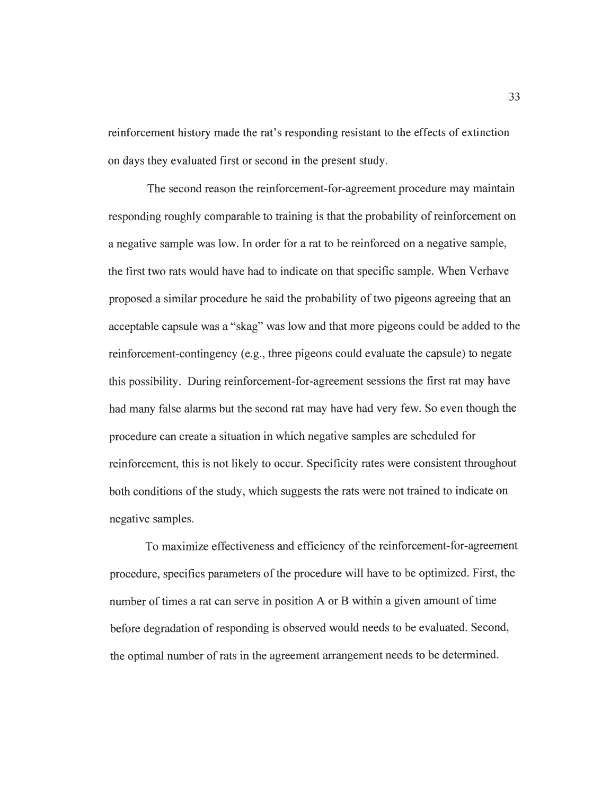reinforcement history made the rat's responding resistant to the effects of extinction on days they evaluated first or second in the present study.

The second reason the reinforcement-for-agreement procedure may maintain responding roughly comparable to training is that the probability of reinforcement on a negative sample was low. In order for a rat to be reinforced on a negative sample, the first two rats would have had to indicate on that specific sample. When Verhave proposed a similar procedure he said the probability of two pigeons agreeing that an acceptable capsule was a "skag" was low and that more pigeons could be added to the reinforcement-contingency (e.g., three pigeons could evaluate the capsule) to negate this possibility. During reinforcement-for-agreement sessions the first rat may have had many false alarms but the second rat may have had very few. So even though the procedure can create a situation in which negative samples are scheduled for reinforcement, this is not likely to occur. Specificity rates were consistent throughout both conditions of the study, which suggests the rats were not trained to indicate on negative samples.

To maximize effectiveness and efficiency of the reinforcement-for-agreement procedure, specifics parameters of the procedure will have to be optimized. First, the number of times a rat can serve in position A or B within a given amount of time before degradation of responding is observed would needs to be evaluated. Second, the optimal number of rats in the agreement arrangement needs to be determined.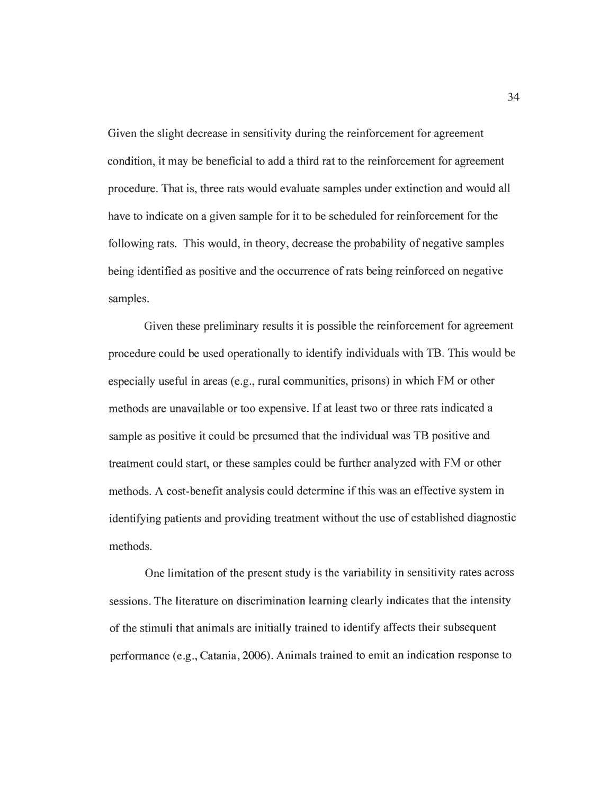Given the slight decrease in sensitivity during the reinforcement for agreement condition, it may be beneficial to add a third rat to the reinforcement for agreement procedure. That is, three rats would evaluate samples under extinction and would all have to indicate on a given sample for it to be scheduled for reinforcement for the following rats. This would, in theory, decrease the probability of negative samples being identified as positive and the occurrence of rats being reinforced on negative samples.

Given these preliminary results it is possible the reinforcement for agreement procedure could be used operationally to identify individuals with TB. This would be especially useful in areas (e.g., rural communities, prisons) in which FM or other methods are unavailable or too expensive. If at least two or three rats indicated a sample as positive it could be presumed that the individual was TB positive and treatment could start, or these samples could be further analyzed with FM or other methods. A cost-benefit analysis could determine if this was an effective system in identifying patients and providing treatment without the use of established diagnostic methods.

One limitation of the present study is the variability in sensitivity rates across sessions. The literature on discrimination learning clearly indicates that the intensity of the stimuli that animals are initially trained to identify affects their subsequent performance (e.g., Catania, 2006). Animals trained to emit an indication response to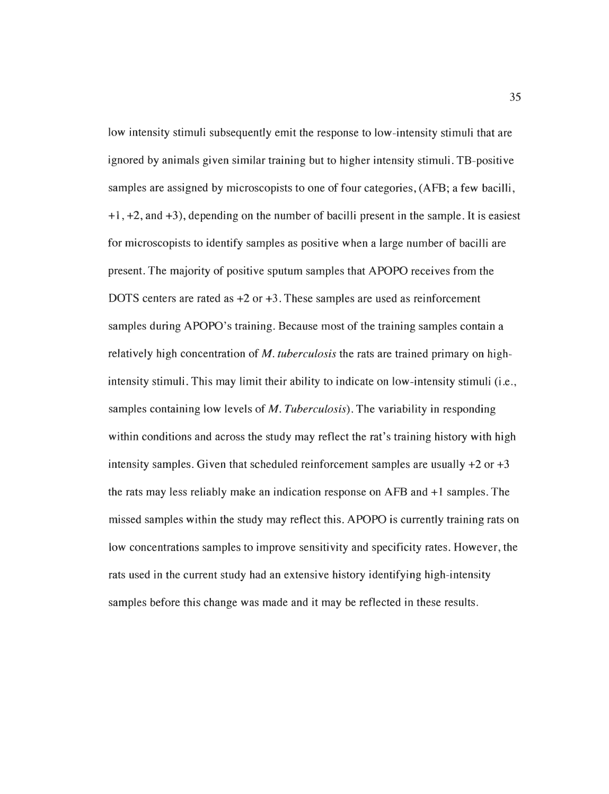low intensity stimuli subsequently emit the response to low-intensity stimuli that are ignored by animals given similar training but to higher intensity stimuli. TB-positive samples are assigned by microscopists to one of four categories, (AFB; a few bacilli, +1, +2, and +3), depending on the number of bacilli present in the sample. It is easiest for microscopists to identify samples as positive when a large number of bacilli are present. The majority of positive sputum samples that APOPO receives from the DOTS centers are rated as  $+2$  or  $+3$ . These samples are used as reinforcement samples during APOPO's training. Because most of the training samples contain a relatively high concentration of **M. tuberculosis** the rats are trained primary on highintensity stimuli. This may limit their ability to indicate on low-intensity stimuli (i.e., samples containing low levels of M. **Tuberculosis).** The variability in responding within conditions and across the study may reflect the rat's training history with high intensity samples. Given that scheduled reinforcement samples are usually  $+2$  or  $+3$ the rats may less reliably make an indication response on AFB and +1 samples. The missed samples within the study may reflect this. APOPO is currently training rats on low concentrations samples to improve sensitivity and specificity rates. However, the rats used in the current study had an extensive history identifying high-intensity samples before this change was made and it may be reflected in these results.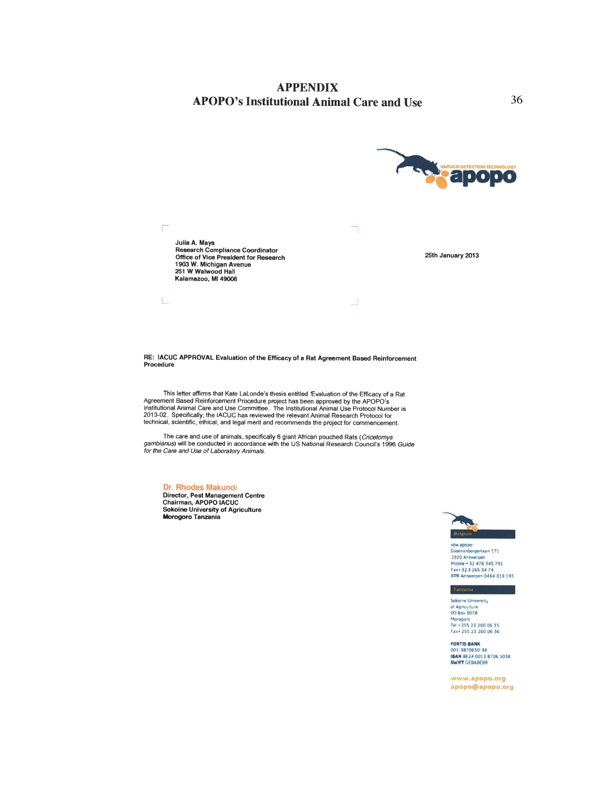

*RE: IACUC APPROVAL Evaluation of the Efficacy of a Rat Agreement Based Reinforcement Procedure*

This letter affirms that Kate LaLonde's thesis entitled 'Evaluation of the Efficacy of a Rat Agreement Based Reinforcement Procedure project has been approved by the APOPO's<br>Institutional Animal Care and Use Committee. The Institutional Animal Use Protocol Number is<br>2013-02. Specifically, the IACUC has reviewed technical, scientific, ethical, and legal merit and recommends the project for commencement.

The care and use of animals, specifically 6 giant African pouched Rats (*Cricetomys*<br>g*ambianus*) will be conducted in accordance with the US National Research Council's 1996 Guide<br>for the Care and Use of Laboratory Animal

*Or. Rhodes Makundi*

*Director, Pest Management Centre Chairman, APOPO IACUC Sokoine University of Agriculture Morogoro Tanzania*



vzw apopo<br>Groenenborgerlaan 171<br>2020 Antwerpen<br>Mobile + 32 476 345 791<br>Fax+ 32 3 265 34 74<br>RPR Antwerpen 0464 019 195

#### Tanzania

*Sokome University of Aonculture PO Bo« 3078 Morogoro Tel -255 23 260 06 35 Fix\* 255 23 260 06 36*

*FORTIS BANK 001 3870650 38 IIANBE24 0013 8706 5038 SWIFT OEBABEBB*

www.apopo.org *apopo@apopo.org*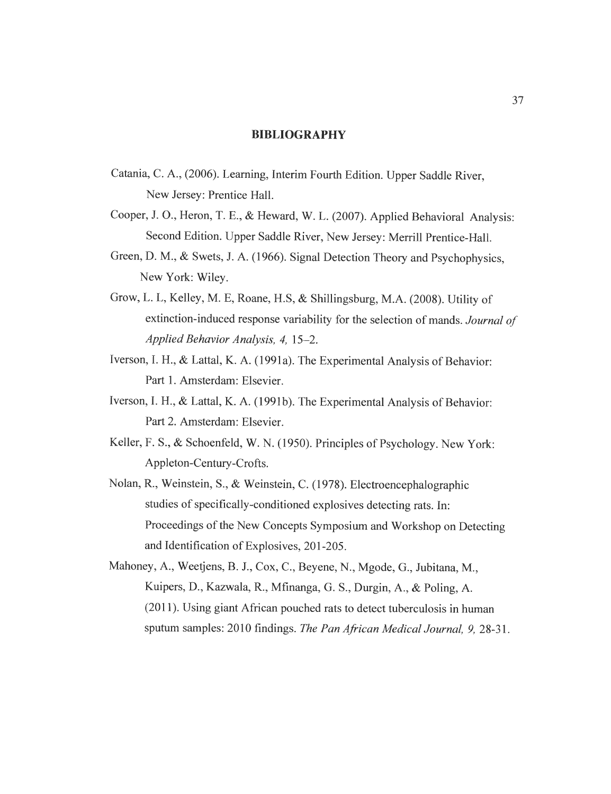#### *BIBLIOGRAPHY*

- Catania, C. A.,(2006). Learning, Interim Fourth Edition. Upper Saddle River, New Jersey: Prentice Hall.
- Cooper, J. O., Heron, T. E., & Heward, W. L. (2007). Applied Behavioral Analysis: Second Edition. Upper Saddle River, New Jersey: Merrill Prentice-Hall.
- Green, D. M., & Swets, J. A. (1966). Signal Detection Theory and Psychophysics, New York: Wiley.
- Grow, L. L, Kelley, M. E, Roane, H.S, & Shillingsburg, M.A. (2008). Utility of extinction-induced response variability for the selection of mands. *Journal of* **Applied Behavior Analysis, 4,** 15-2.
- Iverson, I. H., & Lattal, K. A. (1991a). The Experimental Analysis of Behavior: Part 1. Amsterdam: Elsevier.
- Iverson, I. H., & Lattal, K. A. (1991b). The Experimental Analysis of Behavior: Part 2. Amsterdam: Elsevier.
- Keller, F. S., & Schoenfeld, W. N. (1950). Principles of Psychology. New York: Appleton-Century-Crofts.
- Nolan, R., Weinstein, S., & Weinstein, C.(1978). Electroencephalographic studies of specifically-conditioned explosives detecting rats. In: Proceedings of the New Concepts Symposium and Workshop on Detecting and Identification of Explosives, 201-205.
- Mahoney, A., Weetjens, B. J., Cox, C, Beyene, N., Mgode, G., Jubitana,M., Kuipers, D., Kazwala, R., Mfinanga, G. S., Durgin, A., & Poling, A. (2011). Using giant African pouched rats to detect tuberculosis in human sputum samples: 2010 findings. **The Pan AfricanMedicalJournal, 9,** 28-31.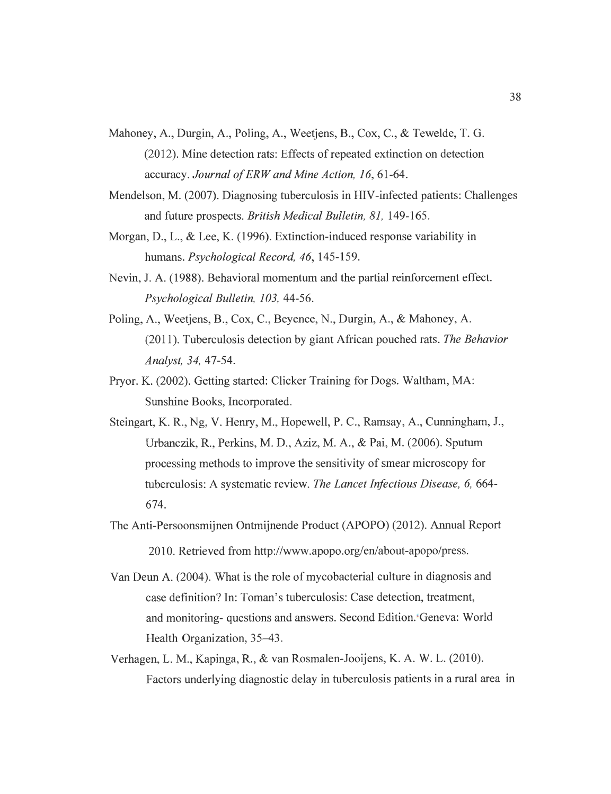- Mahoney, A., Durgin, A., Poling, A., Weetjens, B., Cox, C, & Tewelde, T. G. (2012). Mine detection rats: Effects of repeated extinction on detection accuracy. Journal of ERW and Mine Action, 16, 61-64.
- Mendelson, M. (2007). Diagnosing tuberculosis in HIV-infected patients: Challenges and future prospects. **British Medical Bulletin, 81,** 149-165.
- Morgan, D., L., & Lee, K. (1996). Extinction-induced response variability in humans. **Psychological Record, 46,** 145-159.
- Nevin, J. A. (1988). Behavioral momentum and the partial reinforcement effect. **Psychological Bulletin, 103,** 44-56.
- Poling, A., Weetjens, B., Cox, C, Beyence, N., Durgin, A., & Mahoney, A. (2011). Tuberculosis detection by giant African pouched rats. **The Behavior Analyst, 34,** 47-54.
- Pryor. K. (2002). Getting started: Clicker Training for Dogs. Waltham, MA: Sunshine Books, Incorporated.
- Steingart, K. R., Ng, V. Henry, M., Hopewell, P. C, Ramsay, A., Cunningham, J., Urbanczik, R., Perkins, M. D., Aziz, M. A., & Pai, M. (2006). Sputum processing methods to improve the sensitivity of smear microscopy for tuberculosis: A systematic review. **TheLancet Infectious Disease, 6,** 664- 674.
- The Anti-Persoonsmijnen Ontmijnende Product (APOPO) (2012). Annual Report 2010. Retrieved from http://www.apopo.org/en/about-apopo/press.
- Van Deun A. (2004). What is the role of mycobacterial culture in diagnosis and case definition? In: Toman's tuberculosis: Case detection, treatment, and monitoring- questions and answers. Second Edition. Geneva: World Health Organization, 35–43.
- Verhagen, L. M., Kapinga, R., & van Rosmalen-Jooijens, K. A. W. L. (2010). Factors underlying diagnostic delay in tuberculosis patients in a rural area in